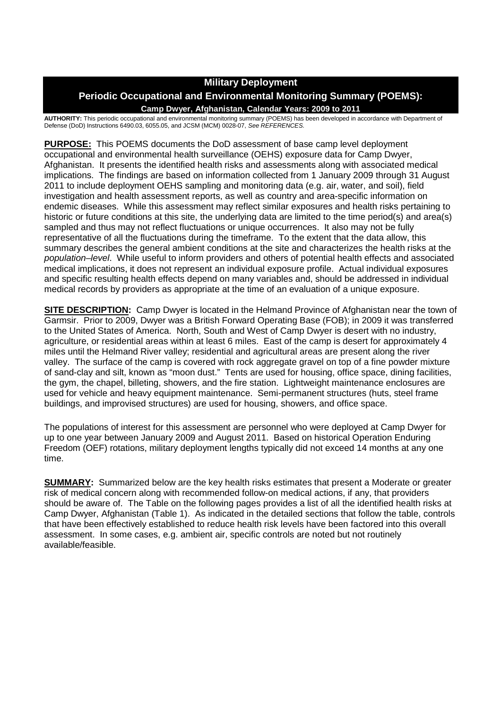# **Military Deployment**

# **Periodic Occupational and Environmental Monitoring Summary (POEMS): Camp Dwyer, Afghanistan, Calendar Years: 2009 to 2011**

**AUTHORITY:** This periodic occupational and environmental monitoring summary (POEMS) has been developed in accordance with Department of Defense (DoD) Instructions 6490.03, 6055.05, and JCSM (MCM) 0028-07, *See REFERENCES.*

**PURPOSE:** This POEMS documents the DoD assessment of base camp level deployment occupational and environmental health surveillance (OEHS) exposure data for Camp Dwyer, Afghanistan. It presents the identified health risks and assessments along with associated medical implications. The findings are based on information collected from 1 January 2009 through 31 August 2011 to include deployment OEHS sampling and monitoring data (e.g. air, water, and soil), field investigation and health assessment reports, as well as country and area-specific information on endemic diseases. While this assessment may reflect similar exposures and health risks pertaining to historic or future conditions at this site, the underlying data are limited to the time period(s) and area(s) sampled and thus may not reflect fluctuations or unique occurrences. It also may not be fully representative of all the fluctuations during the timeframe. To the extent that the data allow, this summary describes the general ambient conditions at the site and characterizes the health risks at the *population–level*. While useful to inform providers and others of potential health effects and associated medical implications, it does not represent an individual exposure profile. Actual individual exposures and specific resulting health effects depend on many variables and, should be addressed in individual medical records by providers as appropriate at the time of an evaluation of a unique exposure.

**SITE DESCRIPTION:** Camp Dwyer is located in the Helmand Province of Afghanistan near the town of Garmsir. Prior to 2009, Dwyer was a British Forward Operating Base (FOB); in 2009 it was transferred to the United States of America. North, South and West of Camp Dwyer is desert with no industry, agriculture, or residential areas within at least 6 miles. East of the camp is desert for approximately 4 miles until the Helmand River valley; residential and agricultural areas are present along the river valley. The surface of the camp is covered with rock aggregate gravel on top of a fine powder mixture of sand-clay and silt, known as "moon dust." Tents are used for housing, office space, dining facilities, the gym, the chapel, billeting, showers, and the fire station. Lightweight maintenance enclosures are used for vehicle and heavy equipment maintenance. Semi-permanent structures (huts, steel frame buildings, and improvised structures) are used for housing, showers, and office space.

The populations of interest for this assessment are personnel who were deployed at Camp Dwyer for up to one year between January 2009 and August 2011. Based on historical Operation Enduring Freedom (OEF) rotations, military deployment lengths typically did not exceed 14 months at any one time.

**SUMMARY:** Summarized below are the key health risks estimates that present a Moderate or greater risk of medical concern along with recommended follow-on medical actions, if any, that providers should be aware of. The Table on the following pages provides a list of all the identified health risks at Camp Dwyer, Afghanistan (Table 1). As indicated in the detailed sections that follow the table, controls that have been effectively established to reduce health risk levels have been factored into this overall assessment. In some cases, e.g. ambient air, specific controls are noted but not routinely available/feasible.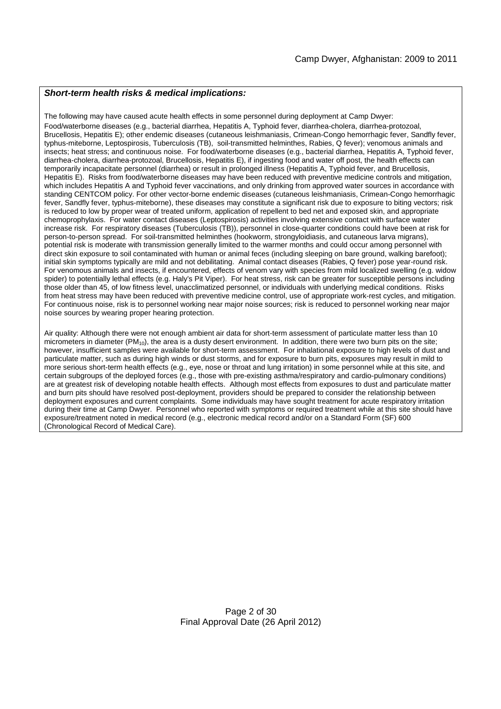#### *Short-term health risks & medical implications:*

The following may have caused acute health effects in some personnel during deployment at Camp Dwyer: Food/waterborne diseases (e.g., bacterial diarrhea, Hepatitis A, Typhoid fever, diarrhea-cholera, diarrhea-protozoal, Brucellosis, Hepatitis E); other endemic diseases (cutaneous leishmaniasis, Crimean-Congo hemorrhagic fever, Sandfly fever, typhus-miteborne, Leptospirosis, Tuberculosis (TB), soil-transmitted helminthes, Rabies, Q fever); venomous animals and insects; heat stress; and continuous noise. For food/waterborne diseases (e.g., bacterial diarrhea, Hepatitis A, Typhoid fever, diarrhea-cholera, diarrhea-protozoal, Brucellosis, Hepatitis E), if ingesting food and water off post, the health effects can temporarily incapacitate personnel (diarrhea) or result in prolonged illness (Hepatitis A, Typhoid fever, and Brucellosis, Hepatitis E). Risks from food/waterborne diseases may have been reduced with preventive medicine controls and mitigation, which includes Hepatitis A and Typhoid fever vaccinations, and only drinking from approved water sources in accordance with standing CENTCOM policy. For other vector-borne endemic diseases (cutaneous leishmaniasis, Crimean-Congo hemorrhagic fever, Sandfly fever, typhus-miteborne), these diseases may constitute a significant risk due to exposure to biting vectors; risk is reduced to low by proper wear of treated uniform, application of repellent to bed net and exposed skin, and appropriate chemoprophylaxis. For water contact diseases (Leptospirosis) activities involving extensive contact with surface water increase risk. For respiratory diseases (Tuberculosis (TB)), personnel in close-quarter conditions could have been at risk for person-to-person spread. For soil-transmitted helminthes (hookworm, strongyloidiasis, and cutaneous larva migrans), potential risk is moderate with transmission generally limited to the warmer months and could occur among personnel with direct skin exposure to soil contaminated with human or animal feces (including sleeping on bare ground, walking barefoot); initial skin symptoms typically are mild and not debilitating. Animal contact diseases (Rabies, Q fever) pose year-round risk. For venomous animals and insects, if encountered, effects of venom vary with species from mild localized swelling (e.g. widow spider) to potentially lethal effects (e.g. Haly's Pit Viper). For heat stress, risk can be greater for susceptible persons including those older than 45, of low fitness level, unacclimatized personnel, or individuals with underlying medical conditions. Risks from heat stress may have been reduced with preventive medicine control, use of appropriate work-rest cycles, and mitigation. For continuous noise, risk is to personnel working near major noise sources; risk is reduced to personnel working near major noise sources by wearing proper hearing protection.

Air quality: Although there were not enough ambient air data for short-term assessment of particulate matter less than 10 micrometers in diameter (PM10), the area is a dusty desert environment. In addition, there were two burn pits on the site; however, insufficient samples were available for short-term assessment. For inhalational exposure to high levels of dust and particulate matter, such as during high winds or dust storms, and for exposure to burn pits, exposures may result in mild to more serious short-term health effects (e.g., eye, nose or throat and lung irritation) in some personnel while at this site, and certain subgroups of the deployed forces (e.g., those with pre-existing asthma/respiratory and cardio-pulmonary conditions) are at greatest risk of developing notable health effects. Although most effects from exposures to dust and particulate matter and burn pits should have resolved post-deployment, providers should be prepared to consider the relationship between deployment exposures and current complaints. Some individuals may have sought treatment for acute respiratory irritation during their time at Camp Dwyer. Personnel who reported with symptoms or required treatment while at this site should have exposure/treatment noted in medical record (e.g., electronic medical record and/or on a Standard Form (SF) 600 (Chronological Record of Medical Care).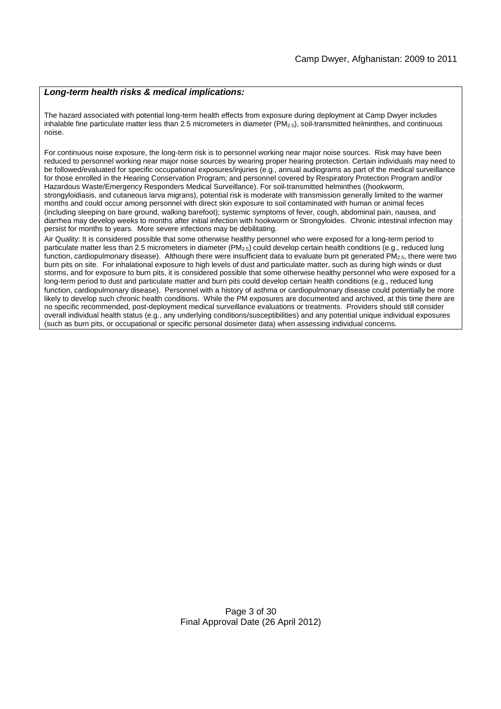#### *Long-term health risks & medical implications:*

The hazard associated with potential long-term health effects from exposure during deployment at Camp Dwyer includes inhalable fine particulate matter less than 2.5 micrometers in diameter (PM<sub>2.5</sub>), soil-transmitted helminthes, and continuous noise.

For continuous noise exposure, the long-term risk is to personnel working near major noise sources. Risk may have been reduced to personnel working near major noise sources by wearing proper hearing protection. Certain individuals may need to be followed/evaluated for specific occupational exposures/injuries (e.g., annual audiograms as part of the medical surveillance for those enrolled in the Hearing Conservation Program; and personnel covered by Respiratory Protection Program and/or Hazardous Waste/Emergency Responders Medical Surveillance). For soil-transmitted helminthes ((hookworm, strongyloidiasis, and cutaneous larva migrans), potential risk is moderate with transmission generally limited to the warmer months and could occur among personnel with direct skin exposure to soil contaminated with human or animal feces (including sleeping on bare ground, walking barefoot); systemic symptoms of fever, cough, abdominal pain, nausea, and diarrhea may develop weeks to months after initial infection with hookworm or Strongyloides. Chronic intestinal infection may persist for months to years. More severe infections may be debilitating.

Air Quality: It is considered possible that some otherwise healthy personnel who were exposed for a long-term period to particulate matter less than 2.5 micrometers in diameter (PM<sub>2.5</sub>) could develop certain health conditions (e.g., reduced lung function, cardiopulmonary disease). Although there were insufficient data to evaluate burn pit generated  $PM_{2.5}$ , there were two burn pits on site. For inhalational exposure to high levels of dust and particulate matter, such as during high winds or dust storms, and for exposure to burn pits, it is considered possible that some otherwise healthy personnel who were exposed for a long-term period to dust and particulate matter and burn pits could develop certain health conditions (e.g., reduced lung function, cardiopulmonary disease). Personnel with a history of asthma or cardiopulmonary disease could potentially be more likely to develop such chronic health conditions. While the PM exposures are documented and archived, at this time there are no specific recommended, post-deployment medical surveillance evaluations or treatments. Providers should still consider overall individual health status (e.g., any underlying conditions/susceptibilities) and any potential unique individual exposures (such as burn pits, or occupational or specific personal dosimeter data) when assessing individual concerns.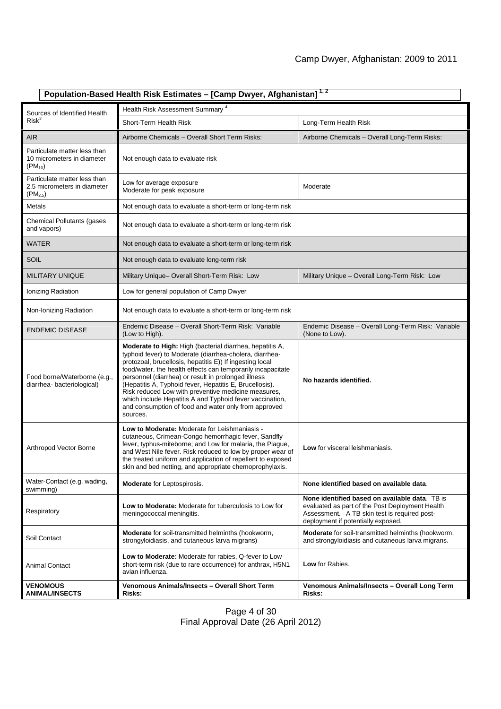| Population-Based Health Risk Estimates - [Camp Dwyer, Afghanistan] <sup>1,2</sup> |                                                                                                                                                                                                                                                                                                                                                                                                                                                                                                                                                         |                                                                                                                                                                                         |  |
|-----------------------------------------------------------------------------------|---------------------------------------------------------------------------------------------------------------------------------------------------------------------------------------------------------------------------------------------------------------------------------------------------------------------------------------------------------------------------------------------------------------------------------------------------------------------------------------------------------------------------------------------------------|-----------------------------------------------------------------------------------------------------------------------------------------------------------------------------------------|--|
| Sources of Identified Health                                                      | Health Risk Assessment Summary <sup>4</sup>                                                                                                                                                                                                                                                                                                                                                                                                                                                                                                             |                                                                                                                                                                                         |  |
| $Risk^3$                                                                          | Short-Term Health Risk                                                                                                                                                                                                                                                                                                                                                                                                                                                                                                                                  | Long-Term Health Risk                                                                                                                                                                   |  |
| <b>AIR</b>                                                                        | Airborne Chemicals - Overall Short Term Risks:                                                                                                                                                                                                                                                                                                                                                                                                                                                                                                          | Airborne Chemicals - Overall Long-Term Risks:                                                                                                                                           |  |
| Particulate matter less than<br>10 micrometers in diameter<br>$(PM_{10})$         | Not enough data to evaluate risk                                                                                                                                                                                                                                                                                                                                                                                                                                                                                                                        |                                                                                                                                                                                         |  |
| Particulate matter less than<br>2.5 micrometers in diameter<br>$(PM_{2.5})$       | Low for average exposure<br>Moderate for peak exposure                                                                                                                                                                                                                                                                                                                                                                                                                                                                                                  | Moderate                                                                                                                                                                                |  |
| Metals                                                                            | Not enough data to evaluate a short-term or long-term risk                                                                                                                                                                                                                                                                                                                                                                                                                                                                                              |                                                                                                                                                                                         |  |
| Chemical Pollutants (gases<br>and vapors)                                         | Not enough data to evaluate a short-term or long-term risk                                                                                                                                                                                                                                                                                                                                                                                                                                                                                              |                                                                                                                                                                                         |  |
| WATER                                                                             | Not enough data to evaluate a short-term or long-term risk                                                                                                                                                                                                                                                                                                                                                                                                                                                                                              |                                                                                                                                                                                         |  |
| <b>SOIL</b>                                                                       | Not enough data to evaluate long-term risk                                                                                                                                                                                                                                                                                                                                                                                                                                                                                                              |                                                                                                                                                                                         |  |
| <b>MILITARY UNIQUE</b>                                                            | Military Unique- Overall Short-Term Risk: Low                                                                                                                                                                                                                                                                                                                                                                                                                                                                                                           | Military Unique - Overall Long-Term Risk: Low                                                                                                                                           |  |
| Ionizing Radiation                                                                | Low for general population of Camp Dwyer                                                                                                                                                                                                                                                                                                                                                                                                                                                                                                                |                                                                                                                                                                                         |  |
| Non-Ionizing Radiation                                                            | Not enough data to evaluate a short-term or long-term risk                                                                                                                                                                                                                                                                                                                                                                                                                                                                                              |                                                                                                                                                                                         |  |
| <b>ENDEMIC DISEASE</b>                                                            | Endemic Disease - Overall Short-Term Risk: Variable<br>(Low to High).                                                                                                                                                                                                                                                                                                                                                                                                                                                                                   | Endemic Disease - Overall Long-Term Risk: Variable<br>(None to Low).                                                                                                                    |  |
| Food borne/Waterborne (e.g.,<br>diarrhea-bacteriological)                         | Moderate to High: High (bacterial diarrhea, hepatitis A,<br>typhoid fever) to Moderate (diarrhea-cholera, diarrhea-<br>protozoal, brucellosis, hepatitis E)) If ingesting local<br>food/water, the health effects can temporarily incapacitate<br>personnel (diarrhea) or result in prolonged illness<br>(Hepatitis A, Typhoid fever, Hepatitis E, Brucellosis).<br>Risk reduced Low with preventive medicine measures,<br>which include Hepatitis A and Typhoid fever vaccination,<br>and consumption of food and water only from approved<br>sources. | No hazards identified.                                                                                                                                                                  |  |
| Arthropod Vector Borne                                                            | Low to Moderate: Moderate for Leishmaniasis -<br>cutaneous, Crimean-Congo hemorrhagic fever, Sandfly<br>fever, typhus-miteborne; and Low for malaria, the Plague,<br>and West Nile fever. Risk reduced to low by proper wear of<br>the treated uniform and application of repellent to exposed<br>skin and bed netting, and appropriate chemoprophylaxis.                                                                                                                                                                                               | Low for visceral leishmaniasis.                                                                                                                                                         |  |
| Water-Contact (e.g. wading,<br>swimming)                                          | <b>Moderate</b> for Leptospirosis.                                                                                                                                                                                                                                                                                                                                                                                                                                                                                                                      | None identified based on available data.                                                                                                                                                |  |
| Respiratory                                                                       | Low to Moderate: Moderate for tuberculosis to Low for<br>meningococcal meningitis.                                                                                                                                                                                                                                                                                                                                                                                                                                                                      | None identified based on available data. TB is<br>evaluated as part of the Post Deployment Health<br>Assessment. A TB skin test is required post-<br>deployment if potentially exposed. |  |
| Soil Contact                                                                      | Moderate for soil-transmitted helminths (hookworm,<br>strongyloidiasis, and cutaneous larva migrans)                                                                                                                                                                                                                                                                                                                                                                                                                                                    | Moderate for soil-transmitted helminths (hookworm,<br>and strongyloidiasis and cutaneous larva migrans.                                                                                 |  |
| <b>Animal Contact</b>                                                             | Low to Moderate: Moderate for rabies, Q-fever to Low<br>short-term risk (due to rare occurrence) for anthrax, H5N1<br>avian influenza.                                                                                                                                                                                                                                                                                                                                                                                                                  | Low for Rabies.                                                                                                                                                                         |  |
| <b>VENOMOUS</b><br><b>ANIMAL/INSECTS</b>                                          | Venomous Animals/Insects - Overall Short Term<br>Risks:                                                                                                                                                                                                                                                                                                                                                                                                                                                                                                 | Venomous Animals/Insects - Overall Long Term<br>Risks:                                                                                                                                  |  |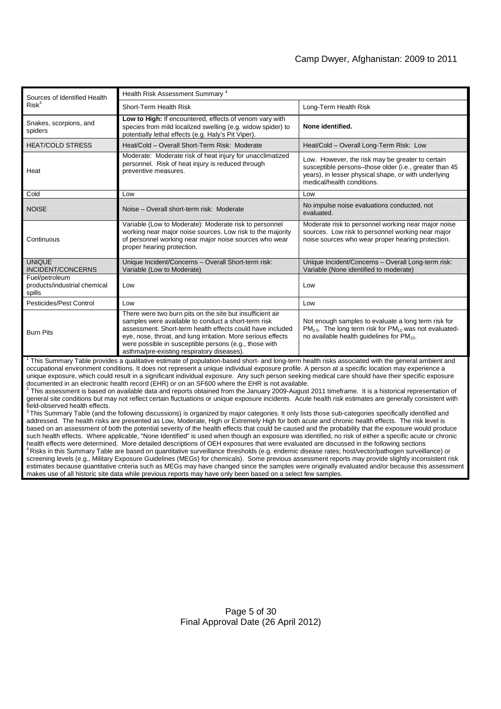| Sources of Identified Health<br>Risk <sup>3</sup>                                                                                                             | Health Risk Assessment Summary <sup>4</sup>                                                                                                                                                                                                                                                                                                           |                                                                                                                                                                                                  |  |
|---------------------------------------------------------------------------------------------------------------------------------------------------------------|-------------------------------------------------------------------------------------------------------------------------------------------------------------------------------------------------------------------------------------------------------------------------------------------------------------------------------------------------------|--------------------------------------------------------------------------------------------------------------------------------------------------------------------------------------------------|--|
|                                                                                                                                                               | Short-Term Health Risk                                                                                                                                                                                                                                                                                                                                | Long-Term Health Risk                                                                                                                                                                            |  |
| Snakes, scorpions, and<br>spiders                                                                                                                             | Low to High: If encountered, effects of venom vary with<br>species from mild localized swelling (e.g. widow spider) to<br>potentially lethal effects (e.g. Haly's Pit Viper).                                                                                                                                                                         | None identified.                                                                                                                                                                                 |  |
| <b>HEAT/COLD STRESS</b>                                                                                                                                       | Heat/Cold - Overall Short-Term Risk: Moderate                                                                                                                                                                                                                                                                                                         | Heat/Cold - Overall Long-Term Risk: Low                                                                                                                                                          |  |
| Heat                                                                                                                                                          | Moderate: Moderate risk of heat injury for unacclimatized<br>personnel. Risk of heat injury is reduced through<br>preventive measures.                                                                                                                                                                                                                | Low. However, the risk may be greater to certain<br>susceptible persons-those older (i.e., greater than 45<br>years), in lesser physical shape, or with underlying<br>medical/health conditions. |  |
| Cold                                                                                                                                                          | Low                                                                                                                                                                                                                                                                                                                                                   | Low                                                                                                                                                                                              |  |
| <b>NOISE</b>                                                                                                                                                  | Noise – Overall short-term risk: Moderate                                                                                                                                                                                                                                                                                                             | No impulse noise evaluations conducted, not<br>evaluated.                                                                                                                                        |  |
| Continuous                                                                                                                                                    | Variable (Low to Moderate): Moderate risk to personnel<br>working near major noise sources. Low risk to the majority<br>of personnel working near major noise sources who wear<br>proper hearing protection.                                                                                                                                          | Moderate risk to personnel working near major noise<br>sources. Low risk to personnel working near major<br>noise sources who wear proper hearing protection.                                    |  |
| <b>UNIQUE</b><br><b>INCIDENT/CONCERNS</b>                                                                                                                     | Unique Incident/Concerns - Overall Short-term risk:<br>Variable (Low to Moderate)                                                                                                                                                                                                                                                                     | Unique Incident/Concerns - Overall Long-term risk:<br>Variable (None identified to moderate)                                                                                                     |  |
| Fuel/petroleum<br>products/industrial chemical<br>spills                                                                                                      | Low                                                                                                                                                                                                                                                                                                                                                   | Low                                                                                                                                                                                              |  |
| Pesticides/Pest Control                                                                                                                                       | Low                                                                                                                                                                                                                                                                                                                                                   | Low                                                                                                                                                                                              |  |
| <b>Burn Pits</b>                                                                                                                                              | There were two burn pits on the site but insufficient air<br>samples were available to conduct a short-term risk<br>assessment. Short-term health effects could have included<br>eye, nose, throat, and lung irritation. More serious effects<br>were possible in susceptible persons (e.g., those with<br>asthma/pre-existing respiratory diseases). | Not enough samples to evaluate a long term risk for<br>$PM2.5$ . The long term risk for $PM10$ was not evaluated-<br>no available health guidelines for PM <sub>10</sub> .                       |  |
| $\frac{1}{2}$ This Summary Table provides a qualitative estimate of population based short, and long term booth risks associated with the general ambient and |                                                                                                                                                                                                                                                                                                                                                       |                                                                                                                                                                                                  |  |

Summary Table provides a qualitative estimate of population-based short- and long-term health risks associated with the general ambient and occupational environment conditions. It does not represent a unique individual exposure profile. A person at a specific location may experience a unique exposure, which could result in a significant individual exposure. Any such person seeking medical care should have their specific exposure documented in an electronic health record (EHR) or on an SF600 where the EHR is not available.

 $^2$  This assessment is based on available data and reports obtained from the January 2009-August 2011 timeframe. It is a historical representation of general site conditions but may not reflect certain fluctuations or unique exposure incidents. Acute health risk estimates are generally consistent with field-observed health effects.

 $3$  This Summary Table (and the following discussions) is organized by major categories. It only lists those sub-categories specifically identified and addressed. The health risks are presented as Low, Moderate, High or Extremely High for both acute and chronic health effects. The risk level is based on an assessment of both the potential severity of the health effects that could be caused and the probability that the exposure would produce such health effects. Where applicable, "None Identified" is used when though an exposure was identified, no risk of either a specific acute or chronic health effects were determined. More detailed descriptions of OEH exposures that were evaluated are discussed in the following sections <sup>4</sup> Risks in this Summary Table are based on quantitative surveillance thresholds (e.g. endemic disease rates; host/vector/pathogen surveillance) or screening levels (e.g., Military Exposure Guidelines (MEGs) for chemicals). Some previous assessment reports may provide slightly inconsistent risk estimates because quantitative criteria such as MEGs may have changed since the samples were originally evaluated and/or because this assessment makes use of all historic site data while previous reports may have only been based on a select few samples.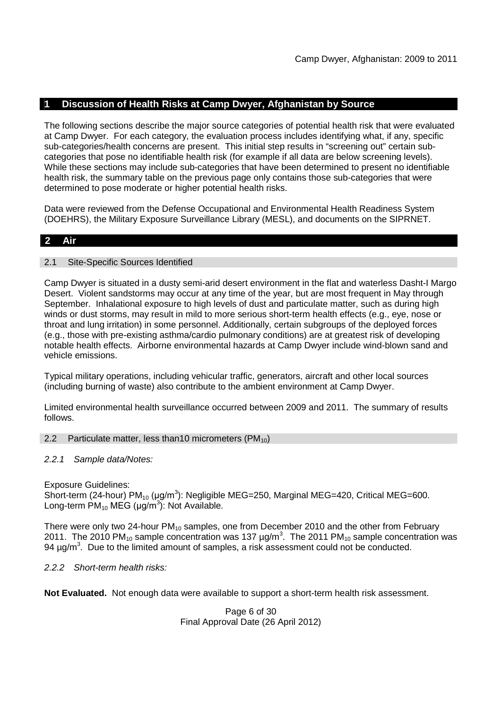# **1 Discussion of Health Risks at Camp Dwyer, Afghanistan by Source**

The following sections describe the major source categories of potential health risk that were evaluated at Camp Dwyer. For each category, the evaluation process includes identifying what, if any, specific sub-categories/health concerns are present. This initial step results in "screening out" certain subcategories that pose no identifiable health risk (for example if all data are below screening levels). While these sections may include sub-categories that have been determined to present no identifiable health risk, the summary table on the previous page only contains those sub-categories that were determined to pose moderate or higher potential health risks.

Data were reviewed from the Defense Occupational and Environmental Health Readiness System (DOEHRS), the Military Exposure Surveillance Library (MESL), and documents on the SIPRNET.

# **2 Air**

### 2.1 Site-Specific Sources Identified

Camp Dwyer is situated in a dusty semi-arid desert environment in the flat and waterless Dasht-I Margo Desert. Violent sandstorms may occur at any time of the year, but are most frequent in May through September. Inhalational exposure to high levels of dust and particulate matter, such as during high winds or dust storms, may result in mild to more serious short-term health effects (e.g., eye, nose or throat and lung irritation) in some personnel. Additionally, certain subgroups of the deployed forces (e.g., those with pre-existing asthma/cardio pulmonary conditions) are at greatest risk of developing notable health effects. Airborne environmental hazards at Camp Dwyer include wind-blown sand and vehicle emissions.

Typical military operations, including vehicular traffic, generators, aircraft and other local sources (including burning of waste) also contribute to the ambient environment at Camp Dwyer.

Limited environmental health surveillance occurred between 2009 and 2011. The summary of results follows.

### 2.2 Particulate matter, less than 10 micrometers  $(PM_{10})$

### *2.2.1 Sample data/Notes:*

Exposure Guidelines: Short-term (24-hour) PM<sub>10</sub> (μg/m<sup>3</sup>): Negligible MEG=250, Marginal MEG=420, Critical MEG=600. Long-term  $PM_{10}$  MEG ( $\mu$ g/m<sup>3</sup>): Not Available.

There were only two 24-hour  $PM_{10}$  samples, one from December 2010 and the other from February 2011. The 2010 PM<sub>10</sub> sample concentration was 137  $\mu$ g/m<sup>3</sup>. The 2011 PM<sub>10</sub> sample concentration was 94  $\mu$ g/m<sup>3</sup>. Due to the limited amount of samples, a risk assessment could not be conducted.

### *2.2.2 Short-term health risks:*

**Not Evaluated.** Not enough data were available to support a short-term health risk assessment.

Page 6 of 30 Final Approval Date (26 April 2012)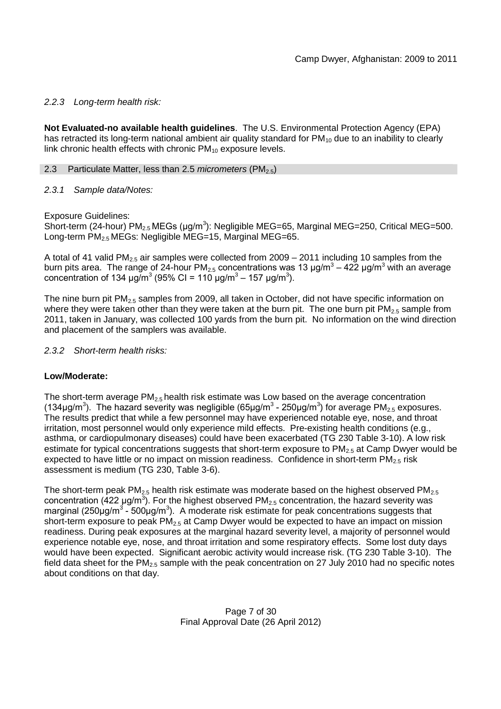### *2.2.3 Long-term health risk:*

**Not Evaluated-no available health guidelines**. The U.S. Environmental Protection Agency (EPA) has retracted its long-term national ambient air quality standard for  $PM_{10}$  due to an inability to clearly link chronic health effects with chronic  $PM_{10}$  exposure levels.

### 2.3 Particulate Matter, less than 2.5 *micrometers* (PM<sub>2.5</sub>)

### *2.3.1 Sample data/Notes:*

Exposure Guidelines:

Short-term (24-hour) PM<sub>2.5</sub> MEGs (μg/m<sup>3</sup>): Negligible MEG=65, Marginal MEG=250, Critical MEG=500. Long-term PM<sub>2.5</sub> MEGs: Negligible MEG=15, Marginal MEG=65.

A total of 41 valid PM<sub>2.5</sub> air samples were collected from 2009 – 2011 including 10 samples from the burn pits area. The range of 24-hour PM<sub>2.5</sub> concentrations was 13 μg/m<sup>3</sup> – 422 μg/m<sup>3</sup> with an average concentration of 134  $\mu$ g/m<sup>3</sup> (95% CI = 110  $\mu$ g/m<sup>3</sup> – 157  $\mu$ g/m<sup>3</sup>).

The nine burn pit  $PM<sub>2.5</sub>$  samples from 2009, all taken in October, did not have specific information on where they were taken other than they were taken at the burn pit. The one burn pit  $PM_{2.5}$  sample from 2011, taken in January, was collected 100 yards from the burn pit. No information on the wind direction and placement of the samplers was available.

### *2.3.2 Short-term health risks:*

# **Low/Moderate:**

The short-term average  $PM_{2.5}$  health risk estimate was Low based on the average concentration (134μg/m<sup>3</sup>). The hazard severity was negligible (65μg/m<sup>3</sup> - 250μg/m<sup>3</sup>) for average PM<sub>2.5</sub> exposures. The results predict that while a few personnel may have experienced notable eye, nose, and throat irritation, most personnel would only experience mild effects. Pre-existing health conditions (e.g., asthma, or cardiopulmonary diseases) could have been exacerbated (TG 230 Table 3-10). A low risk estimate for typical concentrations suggests that short-term exposure to  $PM<sub>2.5</sub>$  at Camp Dwyer would be expected to have little or no impact on mission readiness. Confidence in short-term  $PM_{2.5}$  risk assessment is medium (TG 230, Table 3-6).

The short-term peak  $PM_{2.5}$  health risk estimate was moderate based on the highest observed  $PM_{2.5}$ concentration (422 μg/m<sup>3</sup>). For the highest observed PM<sub>2.5</sub> concentration, the hazard severity was marginal (250µg/m<sup>3</sup> - 500µg/m<sup>3</sup>). A moderate risk estimate for peak concentrations suggests that short-term exposure to peak  $PM<sub>2.5</sub>$  at Camp Dwyer would be expected to have an impact on mission readiness. During peak exposures at the marginal hazard severity level, a majority of personnel would experience notable eye, nose, and throat irritation and some respiratory effects. Some lost duty days would have been expected. Significant aerobic activity would increase risk. (TG 230 Table 3-10). The field data sheet for the PM<sub>2.5</sub> sample with the peak concentration on 27 July 2010 had no specific notes about conditions on that day.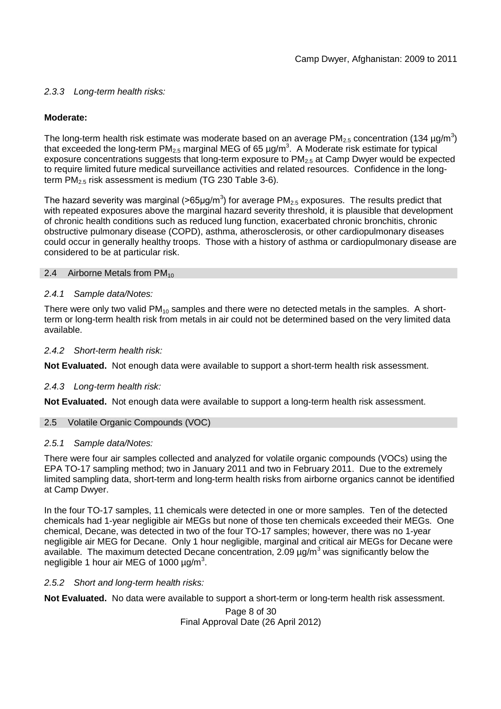# *2.3.3 Long-term health risks:*

# **Moderate:**

The long-term health risk estimate was moderate based on an average PM<sub>2.5</sub> concentration (134 µg/m<sup>3</sup>) that exceeded the long-term PM<sub>2.5</sub> marginal MEG of 65  $\mu$ g/m<sup>3</sup>. A Moderate risk estimate for typical exposure concentrations suggests that long-term exposure to  $PM<sub>2.5</sub>$  at Camp Dwyer would be expected to require limited future medical surveillance activities and related resources. Confidence in the longterm  $PM_{2.5}$  risk assessment is medium (TG 230 Table 3-6).

The hazard severity was marginal (>65µg/m<sup>3</sup>) for average PM<sub>2.5</sub> exposures. The results predict that with repeated exposures above the marginal hazard severity threshold, it is plausible that development of chronic health conditions such as reduced lung function, exacerbated chronic bronchitis, chronic obstructive pulmonary disease (COPD), asthma, atherosclerosis, or other cardiopulmonary diseases could occur in generally healthy troops. Those with a history of asthma or cardiopulmonary disease are considered to be at particular risk.

### 2.4 Airborne Metals from  $PM_{10}$

### *2.4.1 Sample data/Notes:*

There were only two valid  $PM_{10}$  samples and there were no detected metals in the samples. A shortterm or long-term health risk from metals in air could not be determined based on the very limited data available.

### *2.4.2 Short-term health risk:*

**Not Evaluated.** Not enough data were available to support a short-term health risk assessment.

# *2.4.3 Long-term health risk:*

**Not Evaluated.** Not enough data were available to support a long-term health risk assessment.

# 2.5 Volatile Organic Compounds (VOC)

### *2.5.1 Sample data/Notes:*

There were four air samples collected and analyzed for volatile organic compounds (VOCs) using the EPA TO-17 sampling method; two in January 2011 and two in February 2011. Due to the extremely limited sampling data, short-term and long-term health risks from airborne organics cannot be identified at Camp Dwyer.

In the four TO-17 samples, 11 chemicals were detected in one or more samples. Ten of the detected chemicals had 1-year negligible air MEGs but none of those ten chemicals exceeded their MEGs. One chemical, Decane, was detected in two of the four TO-17 samples; however, there was no 1-year negligible air MEG for Decane. Only 1 hour negligible, marginal and critical air MEGs for Decane were available. The maximum detected Decane concentration, 2.09  $\mu q/m^3$  was significantly below the negligible 1 hour air MEG of 1000  $\mu$ g/m<sup>3</sup>.

# *2.5.2 Short and long-term health risks:*

**Not Evaluated.** No data were available to support a short-term or long-term health risk assessment.

Page 8 of 30 Final Approval Date (26 April 2012)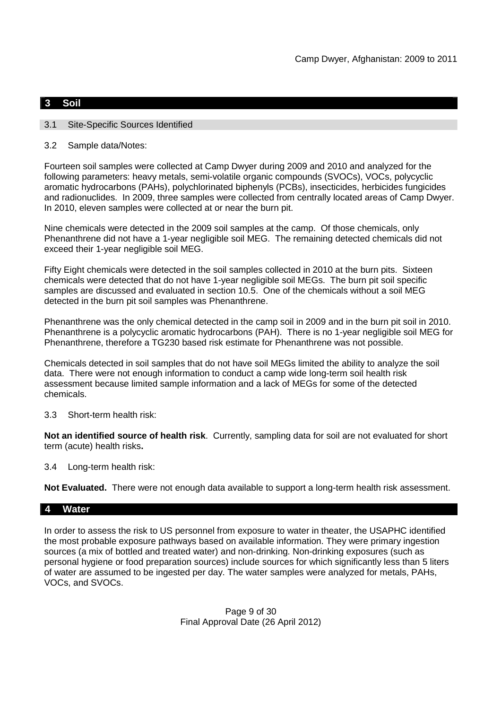# **3 Soil**

### 3.1 Site-Specific Sources Identified

3.2 Sample data/Notes:

Fourteen soil samples were collected at Camp Dwyer during 2009 and 2010 and analyzed for the following parameters: heavy metals, semi-volatile organic compounds (SVOCs), VOCs, polycyclic aromatic hydrocarbons (PAHs), polychlorinated biphenyls (PCBs), insecticides, herbicides fungicides and radionuclides. In 2009, three samples were collected from centrally located areas of Camp Dwyer. In 2010, eleven samples were collected at or near the burn pit.

Nine chemicals were detected in the 2009 soil samples at the camp. Of those chemicals, only Phenanthrene did not have a 1-year negligible soil MEG. The remaining detected chemicals did not exceed their 1-year negligible soil MEG.

Fifty Eight chemicals were detected in the soil samples collected in 2010 at the burn pits. Sixteen chemicals were detected that do not have 1-year negligible soil MEGs. The burn pit soil specific samples are discussed and evaluated in section 10.5. One of the chemicals without a soil MEG detected in the burn pit soil samples was Phenanthrene.

Phenanthrene was the only chemical detected in the camp soil in 2009 and in the burn pit soil in 2010. Phenanthrene is a polycyclic aromatic hydrocarbons (PAH). There is no 1-year negligible soil MEG for Phenanthrene, therefore a TG230 based risk estimate for Phenanthrene was not possible.

Chemicals detected in soil samples that do not have soil MEGs limited the ability to analyze the soil data. There were not enough information to conduct a camp wide long-term soil health risk assessment because limited sample information and a lack of MEGs for some of the detected chemicals.

3.3 Short-term health risk:

**Not an identified source of health risk**. Currently, sampling data for soil are not evaluated for short term (acute) health risks**.**

3.4 Long-term health risk:

**Not Evaluated.** There were not enough data available to support a long-term health risk assessment.

### **4 Water**

In order to assess the risk to US personnel from exposure to water in theater, the USAPHC identified the most probable exposure pathways based on available information. They were primary ingestion sources (a mix of bottled and treated water) and non-drinking. Non-drinking exposures (such as personal hygiene or food preparation sources) include sources for which significantly less than 5 liters of water are assumed to be ingested per day. The water samples were analyzed for metals, PAHs, VOCs, and SVOCs.

> Page 9 of 30 Final Approval Date (26 April 2012)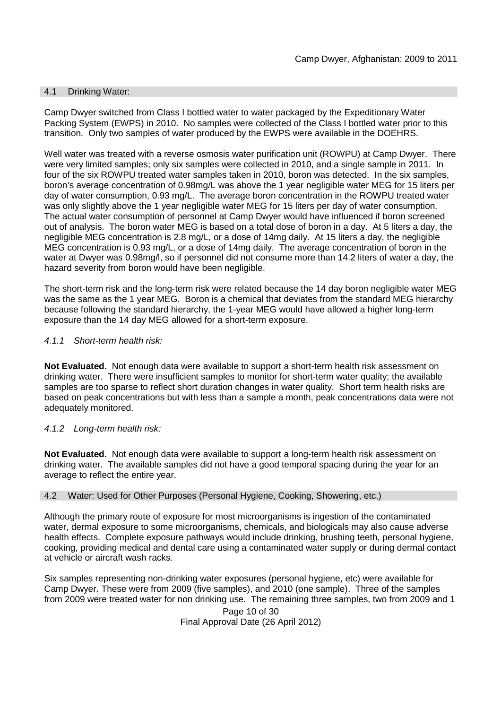### 4.1 Drinking Water:

Camp Dwyer switched from Class I bottled water to water packaged by the Expeditionary Water Packing System (EWPS) in 2010. No samples were collected of the Class I bottled water prior to this transition. Only two samples of water produced by the EWPS were available in the DOEHRS.

Well water was treated with a reverse osmosis water purification unit (ROWPU) at Camp Dwyer. There were very limited samples; only six samples were collected in 2010, and a single sample in 2011. In four of the six ROWPU treated water samples taken in 2010, boron was detected. In the six samples, boron's average concentration of 0.98mg/L was above the 1 year negligible water MEG for 15 liters per day of water consumption, 0.93 mg/L. The average boron concentration in the ROWPU treated water was only slightly above the 1 year negligible water MEG for 15 liters per day of water consumption. The actual water consumption of personnel at Camp Dwyer would have influenced if boron screened out of analysis. The boron water MEG is based on a total dose of boron in a day. At 5 liters a day, the negligible MEG concentration is 2.8 mg/L, or a dose of 14mg daily. At 15 liters a day, the negligible MEG concentration is 0.93 mg/L, or a dose of 14mg daily. The average concentration of boron in the water at Dwyer was 0.98mg/l, so if personnel did not consume more than 14.2 liters of water a day, the hazard severity from boron would have been negligible.

The short-term risk and the long-term risk were related because the 14 day boron negligible water MEG was the same as the 1 year MEG. Boron is a chemical that deviates from the standard MEG hierarchy because following the standard hierarchy, the 1-year MEG would have allowed a higher long-term exposure than the 14 day MEG allowed for a short-term exposure.

### *4.1.1 Short-term health risk:*

**Not Evaluated.** Not enough data were available to support a short-term health risk assessment on drinking water. There were insufficient samples to monitor for short-term water quality; the available samples are too sparse to reflect short duration changes in water quality. Short term health risks are based on peak concentrations but with less than a sample a month, peak concentrations data were not adequately monitored.

### *4.1.2 Long-term health risk:*

**Not Evaluated.** Not enough data were available to support a long-term health risk assessment on drinking water. The available samples did not have a good temporal spacing during the year for an average to reflect the entire year.

### 4.2 Water: Used for Other Purposes (Personal Hygiene, Cooking, Showering, etc.)

Although the primary route of exposure for most microorganisms is ingestion of the contaminated water, dermal exposure to some microorganisms, chemicals, and biologicals may also cause adverse health effects. Complete exposure pathways would include drinking, brushing teeth, personal hygiene, cooking, providing medical and dental care using a contaminated water supply or during dermal contact at vehicle or aircraft wash racks.

Six samples representing non-drinking water exposures (personal hygiene, etc) were available for Camp Dwyer. These were from 2009 (five samples), and 2010 (one sample). Three of the samples from 2009 were treated water for non drinking use. The remaining three samples, two from 2009 and 1

> Page 10 of 30 Final Approval Date (26 April 2012)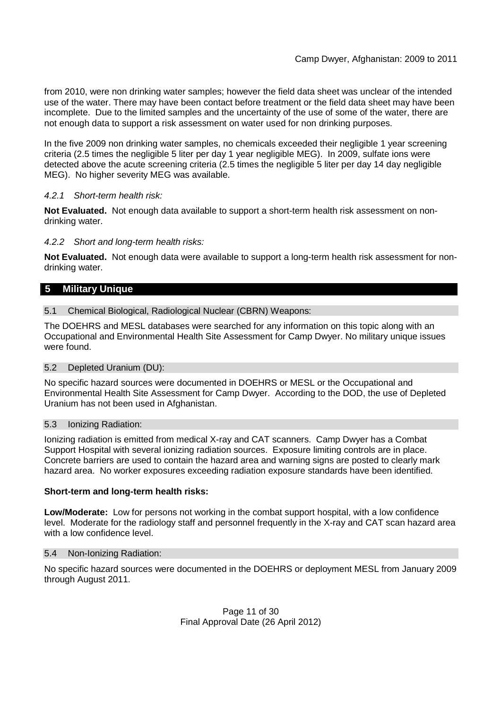from 2010, were non drinking water samples; however the field data sheet was unclear of the intended use of the water. There may have been contact before treatment or the field data sheet may have been incomplete. Due to the limited samples and the uncertainty of the use of some of the water, there are not enough data to support a risk assessment on water used for non drinking purposes.

In the five 2009 non drinking water samples, no chemicals exceeded their negligible 1 year screening criteria (2.5 times the negligible 5 liter per day 1 year negligible MEG). In 2009, sulfate ions were detected above the acute screening criteria (2.5 times the negligible 5 liter per day 14 day negligible MEG). No higher severity MEG was available.

# *4.2.1 Short-term health risk:*

**Not Evaluated.** Not enough data available to support a short-term health risk assessment on nondrinking water.

# *4.2.2 Short and long-term health risks:*

**Not Evaluated.** Not enough data were available to support a long-term health risk assessment for nondrinking water.

# **5 Military Unique**

### 5.1 Chemical Biological, Radiological Nuclear (CBRN) Weapons:

The DOEHRS and MESL databases were searched for any information on this topic along with an Occupational and Environmental Health Site Assessment for Camp Dwyer. No military unique issues were found.

# 5.2 Depleted Uranium (DU):

No specific hazard sources were documented in DOEHRS or MESL or the Occupational and Environmental Health Site Assessment for Camp Dwyer. According to the DOD, the use of Depleted Uranium has not been used in Afghanistan.

### 5.3 Ionizing Radiation:

Ionizing radiation is emitted from medical X-ray and CAT scanners. Camp Dwyer has a Combat Support Hospital with several ionizing radiation sources. Exposure limiting controls are in place. Concrete barriers are used to contain the hazard area and warning signs are posted to clearly mark hazard area. No worker exposures exceeding radiation exposure standards have been identified.

# **Short-term and long-term health risks:**

**Low/Moderate:** Low for persons not working in the combat support hospital, with a low confidence level. Moderate for the radiology staff and personnel frequently in the X-ray and CAT scan hazard area with a low confidence level.

### 5.4 Non-Ionizing Radiation:

No specific hazard sources were documented in the DOEHRS or deployment MESL from January 2009 through August 2011.

> Page 11 of 30 Final Approval Date (26 April 2012)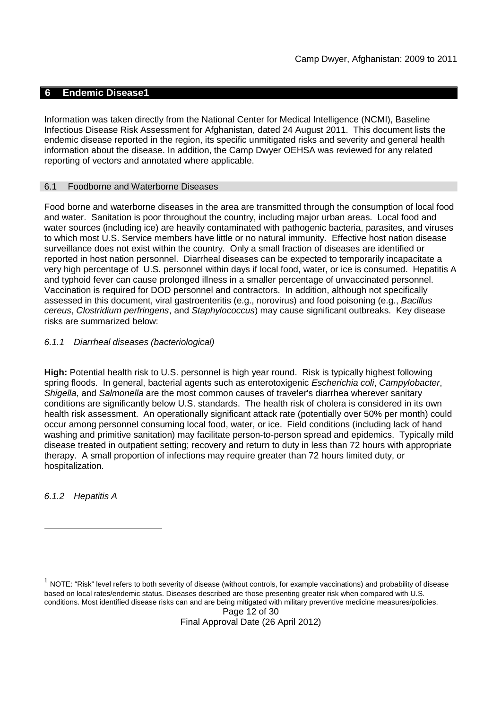### **6 Endemic Disease1**

Information was taken directly from the National Center for Medical Intelligence (NCMI), Baseline Infectious Disease Risk Assessment for Afghanistan, dated 24 August 2011. This document lists the endemic disease reported in the region, its specific unmitigated risks and severity and general health information about the disease. In addition, the Camp Dwyer OEHSA was reviewed for any related reporting of vectors and annotated where applicable.

### 6.1 Foodborne and Waterborne Diseases

Food borne and waterborne diseases in the area are transmitted through the consumption of local food and water. Sanitation is poor throughout the country, including major urban areas. Local food and water sources (including ice) are heavily contaminated with pathogenic bacteria, parasites, and viruses to which most U.S. Service members have little or no natural immunity. Effective host nation disease surveillance does not exist within the country. Only a small fraction of diseases are identified or reported in host nation personnel. Diarrheal diseases can be expected to temporarily incapacitate a very high percentage of U.S. personnel within days if local food, water, or ice is consumed. Hepatitis A and typhoid fever can cause prolonged illness in a smaller percentage of unvaccinated personnel. Vaccination is required for DOD personnel and contractors. In addition, although not specifically assessed in this document, viral gastroenteritis (e.g., norovirus) and food poisoning (e.g., *Bacillus cereus*, *Clostridium perfringens*, and *Staphylococcus*) may cause significant outbreaks. Key disease risks are summarized below:

### *6.1.1 Diarrheal diseases (bacteriological)*

**High:** Potential health risk to U.S. personnel is high year round. Risk is typically highest following spring floods. In general, bacterial agents such as enterotoxigenic *Escherichia coli*, *Campylobacter*, *Shigella*, and *Salmonella* are the most common causes of traveler's diarrhea wherever sanitary conditions are significantly below U.S. standards. The health risk of cholera is considered in its own health risk assessment. An operationally significant attack rate (potentially over 50% per month) could occur among personnel consuming local food, water, or ice. Field conditions (including lack of hand washing and primitive sanitation) may facilitate person-to-person spread and epidemics. Typically mild disease treated in outpatient setting; recovery and return to duty in less than 72 hours with appropriate therapy. A small proportion of infections may require greater than 72 hours limited duty, or hospitalization.

*6.1.2 Hepatitis A*

Page 12 of 30 Final Approval Date (26 April 2012)

 $^1$  NOTE: "Risk" level refers to both severity of disease (without controls, for example vaccinations) and probability of disease based on local rates/endemic status. Diseases described are those presenting greater risk when compared with U.S. conditions. Most identified disease risks can and are being mitigated with military preventive medicine measures/policies.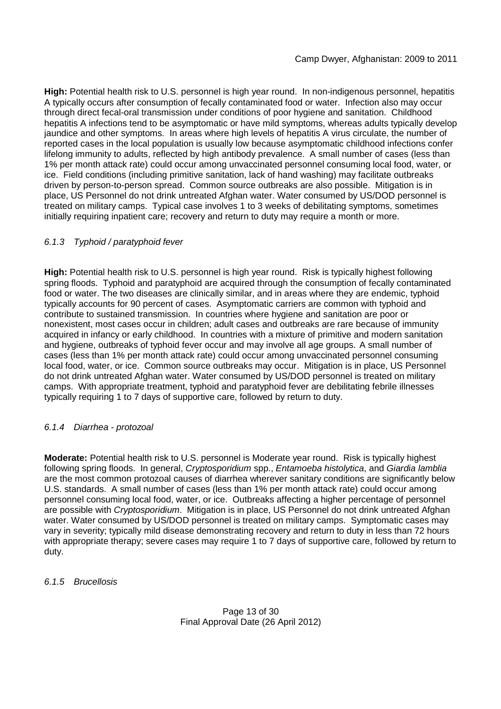**High:** Potential health risk to U.S. personnel is high year round. In non-indigenous personnel, hepatitis A typically occurs after consumption of fecally contaminated food or water. Infection also may occur through direct fecal-oral transmission under conditions of poor hygiene and sanitation. Childhood hepatitis A infections tend to be asymptomatic or have mild symptoms, whereas adults typically develop jaundice and other symptoms. In areas where high levels of hepatitis A virus circulate, the number of reported cases in the local population is usually low because asymptomatic childhood infections confer lifelong immunity to adults, reflected by high antibody prevalence. A small number of cases (less than 1% per month attack rate) could occur among unvaccinated personnel consuming local food, water, or ice. Field conditions (including primitive sanitation, lack of hand washing) may facilitate outbreaks driven by person-to-person spread. Common source outbreaks are also possible. Mitigation is in place, US Personnel do not drink untreated Afghan water. Water consumed by US/DOD personnel is treated on military camps. Typical case involves 1 to 3 weeks of debilitating symptoms, sometimes initially requiring inpatient care; recovery and return to duty may require a month or more.

# *6.1.3 Typhoid / paratyphoid fever*

**High:** Potential health risk to U.S. personnel is high year round. Risk is typically highest following spring floods. Typhoid and paratyphoid are acquired through the consumption of fecally contaminated food or water. The two diseases are clinically similar, and in areas where they are endemic, typhoid typically accounts for 90 percent of cases. Asymptomatic carriers are common with typhoid and contribute to sustained transmission. In countries where hygiene and sanitation are poor or nonexistent, most cases occur in children; adult cases and outbreaks are rare because of immunity acquired in infancy or early childhood. In countries with a mixture of primitive and modern sanitation and hygiene, outbreaks of typhoid fever occur and may involve all age groups. A small number of cases (less than 1% per month attack rate) could occur among unvaccinated personnel consuming local food, water, or ice. Common source outbreaks may occur. Mitigation is in place, US Personnel do not drink untreated Afghan water. Water consumed by US/DOD personnel is treated on military camps. With appropriate treatment, typhoid and paratyphoid fever are debilitating febrile illnesses typically requiring 1 to 7 days of supportive care, followed by return to duty.

# *6.1.4 Diarrhea - protozoal*

**Moderate:** Potential health risk to U.S. personnel is Moderate year round. Risk is typically highest following spring floods. In general, *Cryptosporidium* spp., *Entamoeba histolytica*, and *Giardia lamblia* are the most common protozoal causes of diarrhea wherever sanitary conditions are significantly below U.S. standards. A small number of cases (less than 1% per month attack rate) could occur among personnel consuming local food, water, or ice. Outbreaks affecting a higher percentage of personnel are possible with *Cryptosporidium*. Mitigation is in place, US Personnel do not drink untreated Afghan water. Water consumed by US/DOD personnel is treated on military camps. Symptomatic cases may vary in severity; typically mild disease demonstrating recovery and return to duty in less than 72 hours with appropriate therapy; severe cases may require 1 to 7 days of supportive care, followed by return to duty.

### *6.1.5 Brucellosis*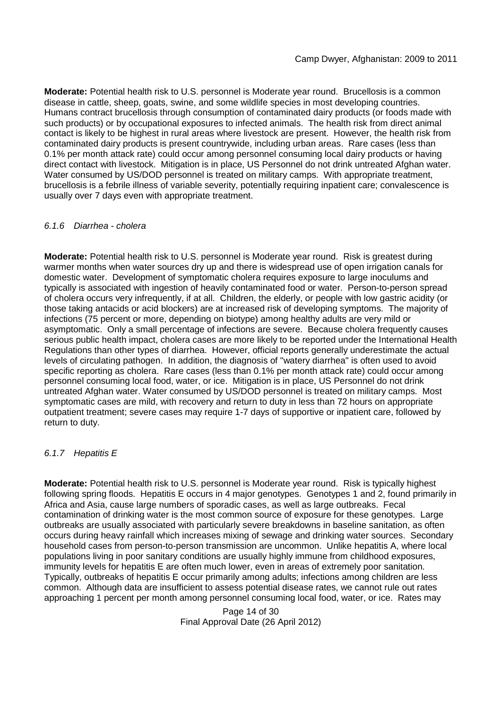**Moderate:** Potential health risk to U.S. personnel is Moderate year round. Brucellosis is a common disease in cattle, sheep, goats, swine, and some wildlife species in most developing countries. Humans contract brucellosis through consumption of contaminated dairy products (or foods made with such products) or by occupational exposures to infected animals. The health risk from direct animal contact is likely to be highest in rural areas where livestock are present. However, the health risk from contaminated dairy products is present countrywide, including urban areas. Rare cases (less than 0.1% per month attack rate) could occur among personnel consuming local dairy products or having direct contact with livestock. Mitigation is in place, US Personnel do not drink untreated Afghan water. Water consumed by US/DOD personnel is treated on military camps. With appropriate treatment, brucellosis is a febrile illness of variable severity, potentially requiring inpatient care; convalescence is usually over 7 days even with appropriate treatment.

### *6.1.6 Diarrhea - cholera*

**Moderate:** Potential health risk to U.S. personnel is Moderate year round. Risk is greatest during warmer months when water sources dry up and there is widespread use of open irrigation canals for domestic water. Development of symptomatic cholera requires exposure to large inoculums and typically is associated with ingestion of heavily contaminated food or water. Person-to-person spread of cholera occurs very infrequently, if at all. Children, the elderly, or people with low gastric acidity (or those taking antacids or acid blockers) are at increased risk of developing symptoms. The majority of infections (75 percent or more, depending on biotype) among healthy adults are very mild or asymptomatic. Only a small percentage of infections are severe. Because cholera frequently causes serious public health impact, cholera cases are more likely to be reported under the International Health Regulations than other types of diarrhea. However, official reports generally underestimate the actual levels of circulating pathogen. In addition, the diagnosis of "watery diarrhea" is often used to avoid specific reporting as cholera. Rare cases (less than 0.1% per month attack rate) could occur among personnel consuming local food, water, or ice. Mitigation is in place, US Personnel do not drink untreated Afghan water. Water consumed by US/DOD personnel is treated on military camps. Most symptomatic cases are mild, with recovery and return to duty in less than 72 hours on appropriate outpatient treatment; severe cases may require 1-7 days of supportive or inpatient care, followed by return to duty.

### *6.1.7 Hepatitis E*

**Moderate:** Potential health risk to U.S. personnel is Moderate year round. Risk is typically highest following spring floods. Hepatitis E occurs in 4 major genotypes. Genotypes 1 and 2, found primarily in Africa and Asia, cause large numbers of sporadic cases, as well as large outbreaks. Fecal contamination of drinking water is the most common source of exposure for these genotypes. Large outbreaks are usually associated with particularly severe breakdowns in baseline sanitation, as often occurs during heavy rainfall which increases mixing of sewage and drinking water sources. Secondary household cases from person-to-person transmission are uncommon. Unlike hepatitis A, where local populations living in poor sanitary conditions are usually highly immune from childhood exposures, immunity levels for hepatitis E are often much lower, even in areas of extremely poor sanitation. Typically, outbreaks of hepatitis E occur primarily among adults; infections among children are less common. Although data are insufficient to assess potential disease rates, we cannot rule out rates approaching 1 percent per month among personnel consuming local food, water, or ice. Rates may

> Page 14 of 30 Final Approval Date (26 April 2012)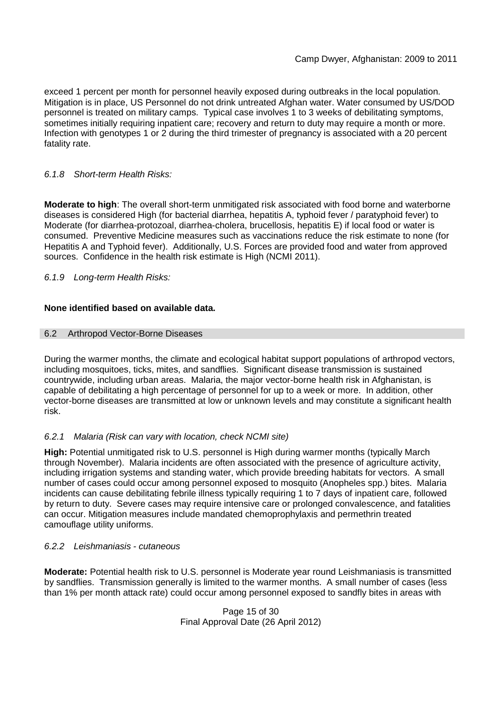exceed 1 percent per month for personnel heavily exposed during outbreaks in the local population. Mitigation is in place, US Personnel do not drink untreated Afghan water. Water consumed by US/DOD personnel is treated on military camps. Typical case involves 1 to 3 weeks of debilitating symptoms, sometimes initially requiring inpatient care; recovery and return to duty may require a month or more. Infection with genotypes 1 or 2 during the third trimester of pregnancy is associated with a 20 percent fatality rate.

# *6.1.8 Short-term Health Risks:*

**Moderate to high**: The overall short-term unmitigated risk associated with food borne and waterborne diseases is considered High (for bacterial diarrhea, hepatitis A, typhoid fever / paratyphoid fever) to Moderate (for diarrhea-protozoal, diarrhea-cholera, brucellosis, hepatitis E) if local food or water is consumed. Preventive Medicine measures such as vaccinations reduce the risk estimate to none (for Hepatitis A and Typhoid fever). Additionally, U.S. Forces are provided food and water from approved sources. Confidence in the health risk estimate is High (NCMI 2011).

*6.1.9 Long-term Health Risks:*

# **None identified based on available data.**

### 6.2 Arthropod Vector-Borne Diseases

During the warmer months, the climate and ecological habitat support populations of arthropod vectors, including mosquitoes, ticks, mites, and sandflies. Significant disease transmission is sustained countrywide, including urban areas. Malaria, the major vector-borne health risk in Afghanistan, is capable of debilitating a high percentage of personnel for up to a week or more. In addition, other vector-borne diseases are transmitted at low or unknown levels and may constitute a significant health risk.

# *6.2.1 Malaria (Risk can vary with location, check NCMI site)*

**High:** Potential unmitigated risk to U.S. personnel is High during warmer months (typically March through November). Malaria incidents are often associated with the presence of agriculture activity, including irrigation systems and standing water, which provide breeding habitats for vectors. A small number of cases could occur among personnel exposed to mosquito (Anopheles spp.) bites. Malaria incidents can cause debilitating febrile illness typically requiring 1 to 7 days of inpatient care, followed by return to duty. Severe cases may require intensive care or prolonged convalescence, and fatalities can occur. Mitigation measures include mandated chemoprophylaxis and permethrin treated camouflage utility uniforms.

# *6.2.2 Leishmaniasis - cutaneous*

**Moderate:** Potential health risk to U.S. personnel is Moderate year round Leishmaniasis is transmitted by sandflies. Transmission generally is limited to the warmer months. A small number of cases (less than 1% per month attack rate) could occur among personnel exposed to sandfly bites in areas with

> Page 15 of 30 Final Approval Date (26 April 2012)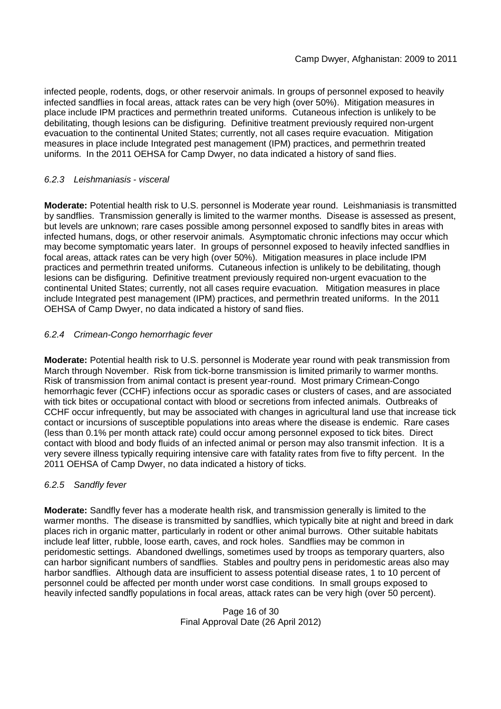infected people, rodents, dogs, or other reservoir animals. In groups of personnel exposed to heavily infected sandflies in focal areas, attack rates can be very high (over 50%). Mitigation measures in place include IPM practices and permethrin treated uniforms. Cutaneous infection is unlikely to be debilitating, though lesions can be disfiguring. Definitive treatment previously required non-urgent evacuation to the continental United States; currently, not all cases require evacuation. Mitigation measures in place include Integrated pest management (IPM) practices, and permethrin treated uniforms. In the 2011 OEHSA for Camp Dwyer, no data indicated a history of sand flies.

# *6.2.3 Leishmaniasis - visceral*

**Moderate:** Potential health risk to U.S. personnel is Moderate year round. Leishmaniasis is transmitted by sandflies. Transmission generally is limited to the warmer months. Disease is assessed as present, but levels are unknown; rare cases possible among personnel exposed to sandfly bites in areas with infected humans, dogs, or other reservoir animals. Asymptomatic chronic infections may occur which may become symptomatic years later. In groups of personnel exposed to heavily infected sandflies in focal areas, attack rates can be very high (over 50%). Mitigation measures in place include IPM practices and permethrin treated uniforms. Cutaneous infection is unlikely to be debilitating, though lesions can be disfiguring. Definitive treatment previously required non-urgent evacuation to the continental United States; currently, not all cases require evacuation. Mitigation measures in place include Integrated pest management (IPM) practices, and permethrin treated uniforms. In the 2011 OEHSA of Camp Dwyer, no data indicated a history of sand flies.

# *6.2.4 Crimean-Congo hemorrhagic fever*

**Moderate:** Potential health risk to U.S. personnel is Moderate year round with peak transmission from March through November. Risk from tick-borne transmission is limited primarily to warmer months. Risk of transmission from animal contact is present year-round. Most primary Crimean-Congo hemorrhagic fever (CCHF) infections occur as sporadic cases or clusters of cases, and are associated with tick bites or occupational contact with blood or secretions from infected animals. Outbreaks of CCHF occur infrequently, but may be associated with changes in agricultural land use that increase tick contact or incursions of susceptible populations into areas where the disease is endemic. Rare cases (less than 0.1% per month attack rate) could occur among personnel exposed to tick bites. Direct contact with blood and body fluids of an infected animal or person may also transmit infection. It is a very severe illness typically requiring intensive care with fatality rates from five to fifty percent. In the 2011 OEHSA of Camp Dwyer, no data indicated a history of ticks.

# *6.2.5 Sandfly fever*

**Moderate:** Sandfly fever has a moderate health risk, and transmission generally is limited to the warmer months. The disease is transmitted by sandflies, which typically bite at night and breed in dark places rich in organic matter, particularly in rodent or other animal burrows. Other suitable habitats include leaf litter, rubble, loose earth, caves, and rock holes. Sandflies may be common in peridomestic settings. Abandoned dwellings, sometimes used by troops as temporary quarters, also can harbor significant numbers of sandflies. Stables and poultry pens in peridomestic areas also may harbor sandflies. Although data are insufficient to assess potential disease rates, 1 to 10 percent of personnel could be affected per month under worst case conditions. In small groups exposed to heavily infected sandfly populations in focal areas, attack rates can be very high (over 50 percent).

> Page 16 of 30 Final Approval Date (26 April 2012)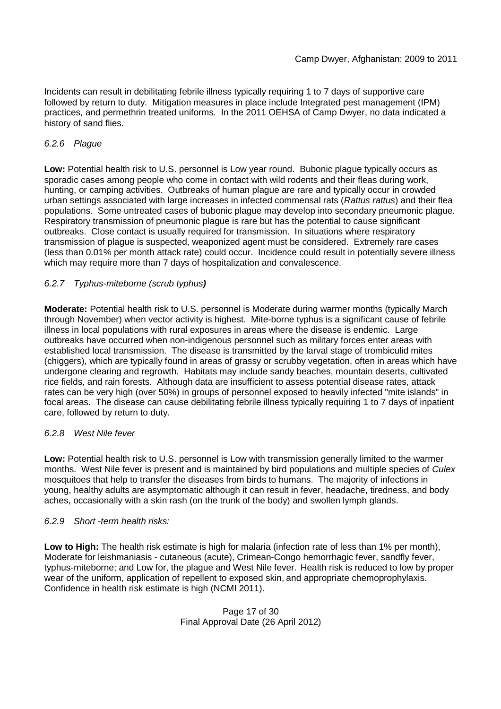Incidents can result in debilitating febrile illness typically requiring 1 to 7 days of supportive care followed by return to duty. Mitigation measures in place include Integrated pest management (IPM) practices, and permethrin treated uniforms. In the 2011 OEHSA of Camp Dwyer, no data indicated a history of sand flies.

# *6.2.6 Plague*

**Low:** Potential health risk to U.S. personnel is Low year round. Bubonic plague typically occurs as sporadic cases among people who come in contact with wild rodents and their fleas during work, hunting, or camping activities. Outbreaks of human plague are rare and typically occur in crowded urban settings associated with large increases in infected commensal rats (*Rattus rattus*) and their flea populations. Some untreated cases of bubonic plague may develop into secondary pneumonic plague. Respiratory transmission of pneumonic plague is rare but has the potential to cause significant outbreaks. Close contact is usually required for transmission. In situations where respiratory transmission of plague is suspected, weaponized agent must be considered. Extremely rare cases (less than 0.01% per month attack rate) could occur. Incidence could result in potentially severe illness which may require more than 7 days of hospitalization and convalescence.

# *6.2.7 Typhus-miteborne (scrub typhus)*

**Moderate:** Potential health risk to U.S. personnel is Moderate during warmer months (typically March through November) when vector activity is highest. Mite-borne typhus is a significant cause of febrile illness in local populations with rural exposures in areas where the disease is endemic. Large outbreaks have occurred when non-indigenous personnel such as military forces enter areas with established local transmission. The disease is transmitted by the larval stage of trombiculid mites (chiggers), which are typically found in areas of grassy or scrubby vegetation, often in areas which have undergone clearing and regrowth. Habitats may include sandy beaches, mountain deserts, cultivated rice fields, and rain forests. Although data are insufficient to assess potential disease rates, attack rates can be very high (over 50%) in groups of personnel exposed to heavily infected "mite islands" in focal areas. The disease can cause debilitating febrile illness typically requiring 1 to 7 days of inpatient care, followed by return to duty.

# *6.2.8 West Nile fever*

**Low:** Potential health risk to U.S. personnel is Low with transmission generally limited to the warmer months. West Nile fever is present and is maintained by bird populations and multiple species of *Culex* mosquitoes that help to transfer the diseases from birds to humans. The majority of infections in young, healthy adults are asymptomatic although it can result in fever, headache, tiredness, and body aches, occasionally with a skin rash (on the trunk of the body) and swollen lymph glands.

# *6.2.9 Short -term health risks:*

**Low to High:** The health risk estimate is high for malaria (infection rate of less than 1% per month), Moderate for leishmaniasis - cutaneous (acute), Crimean-Congo hemorrhagic fever, sandfly fever, typhus-miteborne; and Low for, the plague and West Nile fever. Health risk is reduced to low by proper wear of the uniform, application of repellent to exposed skin, and appropriate chemoprophylaxis. Confidence in health risk estimate is high (NCMI 2011).

### Page 17 of 30 Final Approval Date (26 April 2012)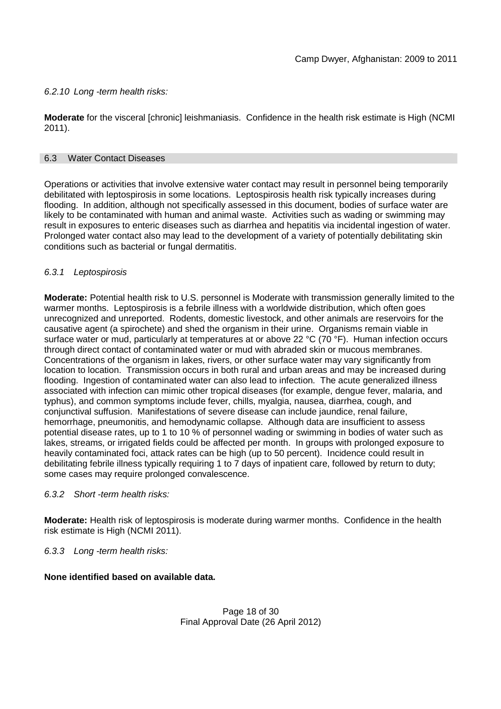# *6.2.10 Long -term health risks:*

**Moderate** for the visceral [chronic] leishmaniasis. Confidence in the health risk estimate is High (NCMI 2011).

### 6.3 Water Contact Diseases

Operations or activities that involve extensive water contact may result in personnel being temporarily debilitated with leptospirosis in some locations. Leptospirosis health risk typically increases during flooding. In addition, although not specifically assessed in this document, bodies of surface water are likely to be contaminated with human and animal waste. Activities such as wading or swimming may result in exposures to enteric diseases such as diarrhea and hepatitis via incidental ingestion of water. Prolonged water contact also may lead to the development of a variety of potentially debilitating skin conditions such as bacterial or fungal dermatitis.

# *6.3.1 Leptospirosis*

**Moderate:** Potential health risk to U.S. personnel is Moderate with transmission generally limited to the warmer months. Leptospirosis is a febrile illness with a worldwide distribution, which often goes unrecognized and unreported. Rodents, domestic livestock, and other animals are reservoirs for the causative agent (a spirochete) and shed the organism in their urine. Organisms remain viable in surface water or mud, particularly at temperatures at or above 22 °C (70 °F). Human infection occurs through direct contact of contaminated water or mud with abraded skin or mucous membranes. Concentrations of the organism in lakes, rivers, or other surface water may vary significantly from location to location. Transmission occurs in both rural and urban areas and may be increased during flooding. Ingestion of contaminated water can also lead to infection. The acute generalized illness associated with infection can mimic other tropical diseases (for example, dengue fever, malaria, and typhus), and common symptoms include fever, chills, myalgia, nausea, diarrhea, cough, and conjunctival suffusion. Manifestations of severe disease can include jaundice, renal failure, hemorrhage, pneumonitis, and hemodynamic collapse. Although data are insufficient to assess potential disease rates, up to 1 to 10 % of personnel wading or swimming in bodies of water such as lakes, streams, or irrigated fields could be affected per month. In groups with prolonged exposure to heavily contaminated foci, attack rates can be high (up to 50 percent). Incidence could result in debilitating febrile illness typically requiring 1 to 7 days of inpatient care, followed by return to duty; some cases may require prolonged convalescence.

### *6.3.2 Short -term health risks:*

**Moderate:** Health risk of leptospirosis is moderate during warmer months. Confidence in the health risk estimate is High (NCMI 2011).

# *6.3.3 Long -term health risks:*

**None identified based on available data.**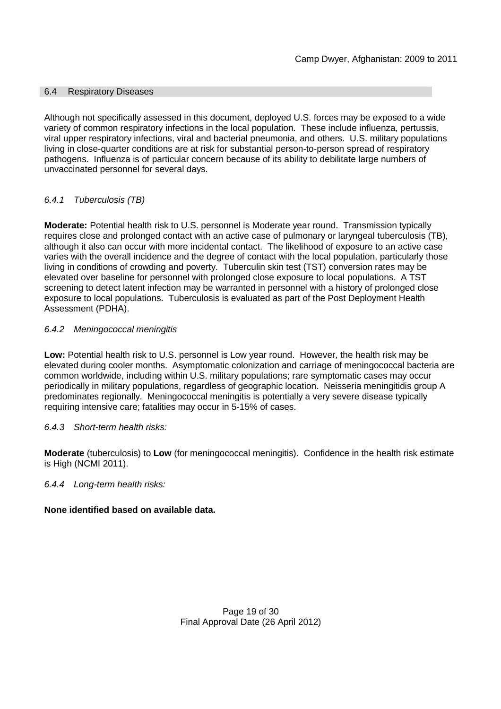### 6.4 Respiratory Diseases

Although not specifically assessed in this document, deployed U.S. forces may be exposed to a wide variety of common respiratory infections in the local population. These include influenza, pertussis, viral upper respiratory infections, viral and bacterial pneumonia, and others. U.S. military populations living in close-quarter conditions are at risk for substantial person-to-person spread of respiratory pathogens. Influenza is of particular concern because of its ability to debilitate large numbers of unvaccinated personnel for several days.

# *6.4.1 Tuberculosis (TB)*

**Moderate:** Potential health risk to U.S. personnel is Moderate year round. Transmission typically requires close and prolonged contact with an active case of pulmonary or laryngeal tuberculosis (TB), although it also can occur with more incidental contact. The likelihood of exposure to an active case varies with the overall incidence and the degree of contact with the local population, particularly those living in conditions of crowding and poverty. Tuberculin skin test (TST) conversion rates may be elevated over baseline for personnel with prolonged close exposure to local populations. A TST screening to detect latent infection may be warranted in personnel with a history of prolonged close exposure to local populations. Tuberculosis is evaluated as part of the Post Deployment Health Assessment (PDHA).

# *6.4.2 Meningococcal meningitis*

**Low:** Potential health risk to U.S. personnel is Low year round. However, the health risk may be elevated during cooler months. Asymptomatic colonization and carriage of meningococcal bacteria are common worldwide, including within U.S. military populations; rare symptomatic cases may occur periodically in military populations, regardless of geographic location. Neisseria meningitidis group A predominates regionally. Meningococcal meningitis is potentially a very severe disease typically requiring intensive care; fatalities may occur in 5-15% of cases.

# *6.4.3 Short-term health risks:*

**Moderate** (tuberculosis) to **Low** (for meningococcal meningitis). Confidence in the health risk estimate is High (NCMI 2011).

### *6.4.4 Long-term health risks:*

# **None identified based on available data.**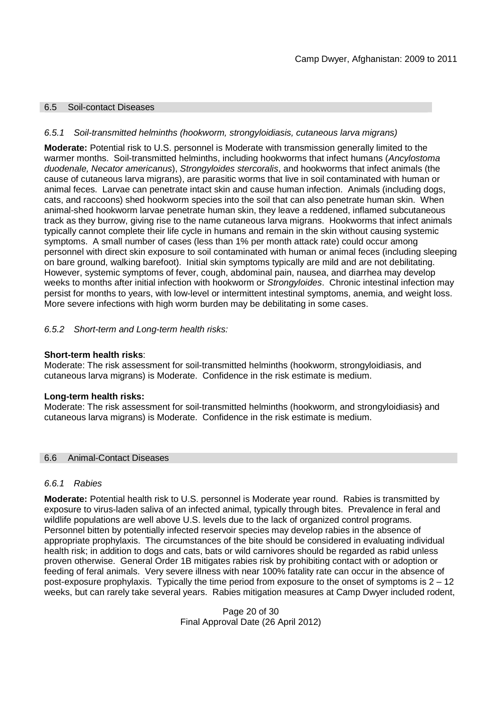### 6.5 Soil-contact Diseases

### *6.5.1 Soil-transmitted helminths (hookworm, strongyloidiasis, cutaneous larva migrans)*

**Moderate:** Potential risk to U.S. personnel is Moderate with transmission generally limited to the warmer months. Soil-transmitted helminths, including hookworms that infect humans (*Ancylostoma duodenale, Necator americanus*), *Strongyloides stercoralis*, and hookworms that infect animals (the cause of cutaneous larva migrans), are parasitic worms that live in soil contaminated with human or animal feces. Larvae can penetrate intact skin and cause human infection. Animals (including dogs, cats, and raccoons) shed hookworm species into the soil that can also penetrate human skin. When animal-shed hookworm larvae penetrate human skin, they leave a reddened, inflamed subcutaneous track as they burrow, giving rise to the name cutaneous larva migrans. Hookworms that infect animals typically cannot complete their life cycle in humans and remain in the skin without causing systemic symptoms. A small number of cases (less than 1% per month attack rate) could occur among personnel with direct skin exposure to soil contaminated with human or animal feces (including sleeping on bare ground, walking barefoot). Initial skin symptoms typically are mild and are not debilitating. However, systemic symptoms of fever, cough, abdominal pain, nausea, and diarrhea may develop weeks to months after initial infection with hookworm or *Strongyloides*. Chronic intestinal infection may persist for months to years, with low-level or intermittent intestinal symptoms, anemia, and weight loss. More severe infections with high worm burden may be debilitating in some cases.

### *6.5.2 Short-term and Long-term health risks:*

### **Short-term health risks**:

Moderate: The risk assessment for soil-transmitted helminths (hookworm, strongyloidiasis, and cutaneous larva migrans) is Moderate. Confidence in the risk estimate is medium.

### **Long-term health risks:**

Moderate: The risk assessment for soil-transmitted helminths (hookworm, and strongyloidiasis) and cutaneous larva migrans) is Moderate. Confidence in the risk estimate is medium.

#### 6.6 Animal-Contact Diseases

### *6.6.1 Rabies*

**Moderate:** Potential health risk to U.S. personnel is Moderate year round. Rabies is transmitted by exposure to virus-laden saliva of an infected animal, typically through bites. Prevalence in feral and wildlife populations are well above U.S. levels due to the lack of organized control programs. Personnel bitten by potentially infected reservoir species may develop rabies in the absence of appropriate prophylaxis. The circumstances of the bite should be considered in evaluating individual health risk; in addition to dogs and cats, bats or wild carnivores should be regarded as rabid unless proven otherwise. General Order 1B mitigates rabies risk by prohibiting contact with or adoption or feeding of feral animals. Very severe illness with near 100% fatality rate can occur in the absence of post-exposure prophylaxis. Typically the time period from exposure to the onset of symptoms is 2 – 12 weeks, but can rarely take several years. Rabies mitigation measures at Camp Dwyer included rodent,

> Page 20 of 30 Final Approval Date (26 April 2012)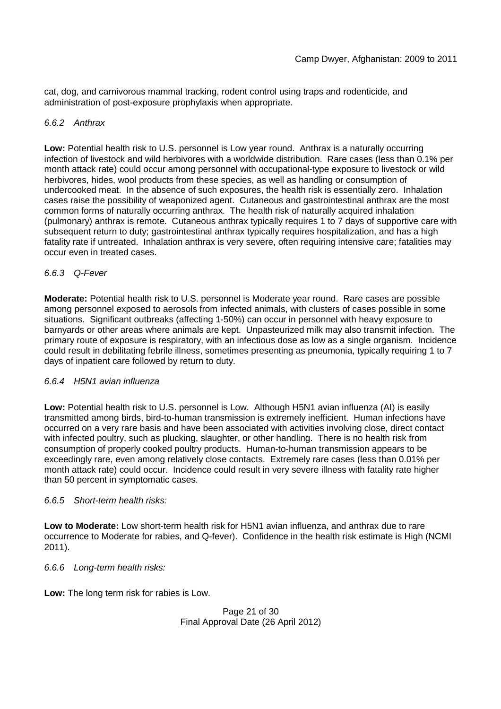cat, dog, and carnivorous mammal tracking, rodent control using traps and rodenticide, and administration of post-exposure prophylaxis when appropriate.

# *6.6.2 Anthrax*

**Low:** Potential health risk to U.S. personnel is Low year round. Anthrax is a naturally occurring infection of livestock and wild herbivores with a worldwide distribution. Rare cases (less than 0.1% per month attack rate) could occur among personnel with occupational-type exposure to livestock or wild herbivores, hides, wool products from these species, as well as handling or consumption of undercooked meat. In the absence of such exposures, the health risk is essentially zero. Inhalation cases raise the possibility of weaponized agent. Cutaneous and gastrointestinal anthrax are the most common forms of naturally occurring anthrax. The health risk of naturally acquired inhalation (pulmonary) anthrax is remote. Cutaneous anthrax typically requires 1 to 7 days of supportive care with subsequent return to duty; gastrointestinal anthrax typically requires hospitalization, and has a high fatality rate if untreated. Inhalation anthrax is very severe, often requiring intensive care; fatalities may occur even in treated cases.

# *6.6.3 Q-Fever*

**Moderate:** Potential health risk to U.S. personnel is Moderate year round. Rare cases are possible among personnel exposed to aerosols from infected animals, with clusters of cases possible in some situations. Significant outbreaks (affecting 1-50%) can occur in personnel with heavy exposure to barnyards or other areas where animals are kept. Unpasteurized milk may also transmit infection. The primary route of exposure is respiratory, with an infectious dose as low as a single organism. Incidence could result in debilitating febrile illness, sometimes presenting as pneumonia, typically requiring 1 to 7 days of inpatient care followed by return to duty.

# *6.6.4 H5N1 avian influenza*

**Low:** Potential health risk to U.S. personnel is Low. Although H5N1 avian influenza (AI) is easily transmitted among birds, bird-to-human transmission is extremely inefficient. Human infections have occurred on a very rare basis and have been associated with activities involving close, direct contact with infected poultry, such as plucking, slaughter, or other handling. There is no health risk from consumption of properly cooked poultry products. Human-to-human transmission appears to be exceedingly rare, even among relatively close contacts. Extremely rare cases (less than 0.01% per month attack rate) could occur. Incidence could result in very severe illness with fatality rate higher than 50 percent in symptomatic cases.

# *6.6.5 Short-term health risks:*

**Low to Moderate:** Low short-term health risk for H5N1 avian influenza, and anthrax due to rare occurrence to Moderate for rabies, and Q-fever). Confidence in the health risk estimate is High (NCMI 2011).

# *6.6.6 Long-term health risks:*

**Low:** The long term risk for rabies is Low.

```
Page 21 of 30
Final Approval Date (26 April 2012)
```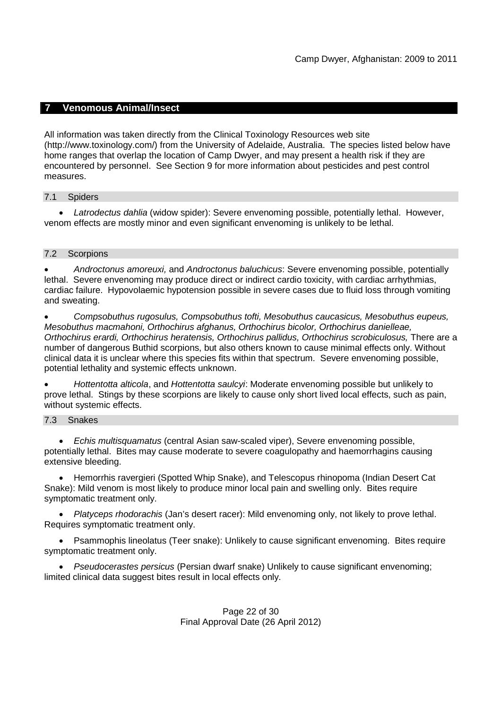# **7 Venomous Animal/Insect**

All information was taken directly from the Clinical Toxinology Resources web site (http://www.toxinology.com/) from the University of Adelaide, Australia. The species listed below have home ranges that overlap the location of Camp Dwyer, and may present a health risk if they are encountered by personnel. See Section 9 for more information about pesticides and pest control measures.

### 7.1 Spiders

 *Latrodectus dahlia* (widow spider): Severe envenoming possible, potentially lethal. However, venom effects are mostly minor and even significant envenoming is unlikely to be lethal.

### 7.2 Scorpions

 *Androctonus amoreuxi,* and *Androctonus baluchicus*: Severe envenoming possible, potentially lethal. Severe envenoming may produce direct or indirect cardio toxicity, with cardiac arrhythmias, cardiac failure. Hypovolaemic hypotension possible in severe cases due to fluid loss through vomiting and sweating.

 *Compsobuthus rugosulus, Compsobuthus tofti, Mesobuthus caucasicus, Mesobuthus eupeus, Mesobuthus macmahoni, Orthochirus afghanus, Orthochirus bicolor, Orthochirus danielleae, Orthochirus erardi, Orthochirus heratensis, Orthochirus pallidus, Orthochirus scrobiculosus,* There are a number of dangerous Buthid scorpions, but also others known to cause minimal effects only. Without clinical data it is unclear where this species fits within that spectrum. Severe envenoming possible, potential lethality and systemic effects unknown.

 *Hottentotta alticola*, and *Hottentotta saulcyi*: Moderate envenoming possible but unlikely to prove lethal. Stings by these scorpions are likely to cause only short lived local effects, such as pain, without systemic effects.

### 7.3 Snakes

 *Echis multisquamatus* (central Asian saw-scaled viper), Severe envenoming possible, potentially lethal. Bites may cause moderate to severe coagulopathy and haemorrhagins causing extensive bleeding.

 Hemorrhis ravergieri (Spotted Whip Snake), and Telescopus rhinopoma (Indian Desert Cat Snake): Mild venom is most likely to produce minor local pain and swelling only. Bites require symptomatic treatment only.

 *Platyceps rhodorachis* (Jan's desert racer): Mild envenoming only, not likely to prove lethal. Requires symptomatic treatment only.

 Psammophis lineolatus (Teer snake): Unlikely to cause significant envenoming. Bites require symptomatic treatment only.

 *Pseudocerastes persicus* (Persian dwarf snake) Unlikely to cause significant envenoming; limited clinical data suggest bites result in local effects only.

### Page 22 of 30 Final Approval Date (26 April 2012)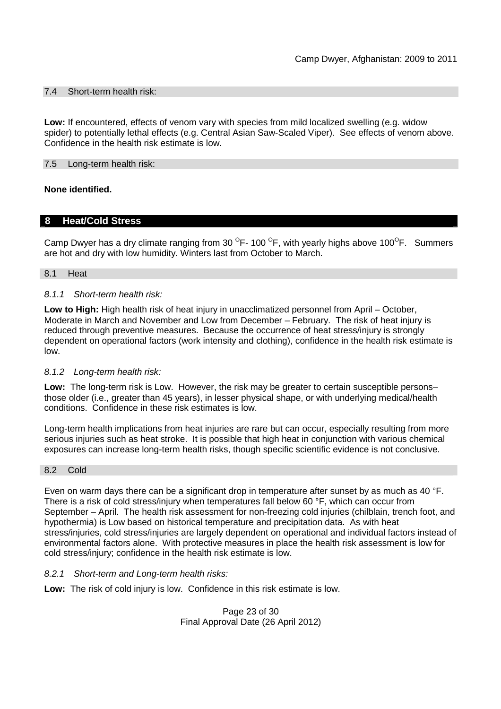### 7.4 Short-term health risk:

**Low:** If encountered, effects of venom vary with species from mild localized swelling (e.g. widow spider) to potentially lethal effects (e.g. Central Asian Saw-Scaled Viper). See effects of venom above. Confidence in the health risk estimate is low.

### 7.5 Long-term health risk:

### **None identified.**

# **8 Heat/Cold Stress**

Camp Dwyer has a dry climate ranging from 30  $^{\circ}$ F- 100  $^{\circ}$ F, with yearly highs above 100 $^{\circ}$ F. Summers are hot and dry with low humidity. Winters last from October to March.

#### 8.1 Heat

#### *8.1.1 Short-term health risk:*

**Low to High:** High health risk of heat injury in unacclimatized personnel from April – October, Moderate in March and November and Low from December – February. The risk of heat injury is reduced through preventive measures. Because the occurrence of heat stress/injury is strongly dependent on operational factors (work intensity and clothing), confidence in the health risk estimate is low.

### *8.1.2 Long-term health risk:*

**Low:** The long-term risk is Low. However, the risk may be greater to certain susceptible persons– those older (i.e., greater than 45 years), in lesser physical shape, or with underlying medical/health conditions. Confidence in these risk estimates is low.

Long-term health implications from heat injuries are rare but can occur, especially resulting from more serious injuries such as heat stroke. It is possible that high heat in conjunction with various chemical exposures can increase long-term health risks, though specific scientific evidence is not conclusive.

#### 8.2 Cold

Even on warm days there can be a significant drop in temperature after sunset by as much as 40 °F. There is a risk of cold stress/injury when temperatures fall below 60 °F, which can occur from September – April. The health risk assessment for non-freezing cold injuries (chilblain, trench foot, and hypothermia) is Low based on historical temperature and precipitation data. As with heat stress/injuries, cold stress/injuries are largely dependent on operational and individual factors instead of environmental factors alone. With protective measures in place the health risk assessment is low for cold stress/injury; confidence in the health risk estimate is low.

### *8.2.1 Short-term and Long-term health risks:*

**Low:** The risk of cold injury is low. Confidence in this risk estimate is low.

Page 23 of 30 Final Approval Date (26 April 2012)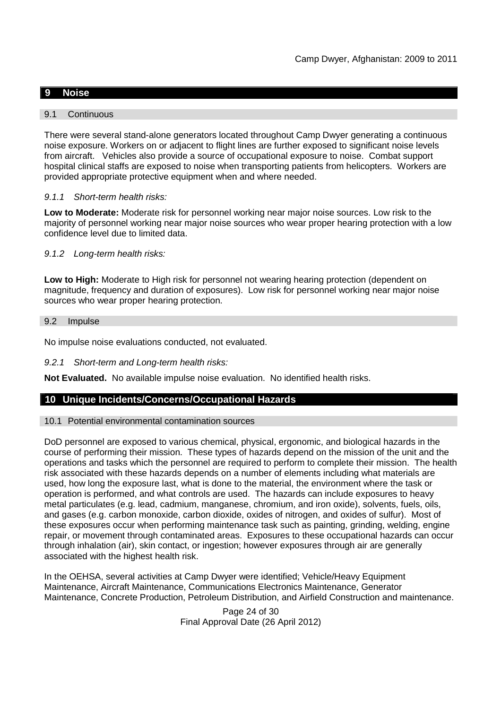# **9 Noise**

### 9.1 Continuous

There were several stand-alone generators located throughout Camp Dwyer generating a continuous noise exposure. Workers on or adjacent to flight lines are further exposed to significant noise levels from aircraft. Vehicles also provide a source of occupational exposure to noise. Combat support hospital clinical staffs are exposed to noise when transporting patients from helicopters. Workers are provided appropriate protective equipment when and where needed.

### *9.1.1 Short-term health risks:*

**Low to Moderate:** Moderate risk for personnel working near major noise sources. Low risk to the majority of personnel working near major noise sources who wear proper hearing protection with a low confidence level due to limited data.

### *9.1.2 Long-term health risks:*

**Low to High:** Moderate to High risk for personnel not wearing hearing protection (dependent on magnitude, frequency and duration of exposures). Low risk for personnel working near major noise sources who wear proper hearing protection.

#### 9.2 Impulse

No impulse noise evaluations conducted, not evaluated.

#### *9.2.1 Short-term and Long-term health risks:*

**Not Evaluated.** No available impulse noise evaluation. No identified health risks.

### **10 Unique Incidents/Concerns/Occupational Hazards**

#### 10.1 Potential environmental contamination sources

DoD personnel are exposed to various chemical, physical, ergonomic, and biological hazards in the course of performing their mission. These types of hazards depend on the mission of the unit and the operations and tasks which the personnel are required to perform to complete their mission. The health risk associated with these hazards depends on a number of elements including what materials are used, how long the exposure last, what is done to the material, the environment where the task or operation is performed, and what controls are used. The hazards can include exposures to heavy metal particulates (e.g. lead, cadmium, manganese, chromium, and iron oxide), solvents, fuels, oils, and gases (e.g. carbon monoxide, carbon dioxide, oxides of nitrogen, and oxides of sulfur). Most of these exposures occur when performing maintenance task such as painting, grinding, welding, engine repair, or movement through contaminated areas. Exposures to these occupational hazards can occur through inhalation (air), skin contact, or ingestion; however exposures through air are generally associated with the highest health risk.

In the OEHSA, several activities at Camp Dwyer were identified; Vehicle/Heavy Equipment Maintenance, Aircraft Maintenance, Communications Electronics Maintenance, Generator Maintenance, Concrete Production, Petroleum Distribution, and Airfield Construction and maintenance.

> Page 24 of 30 Final Approval Date (26 April 2012)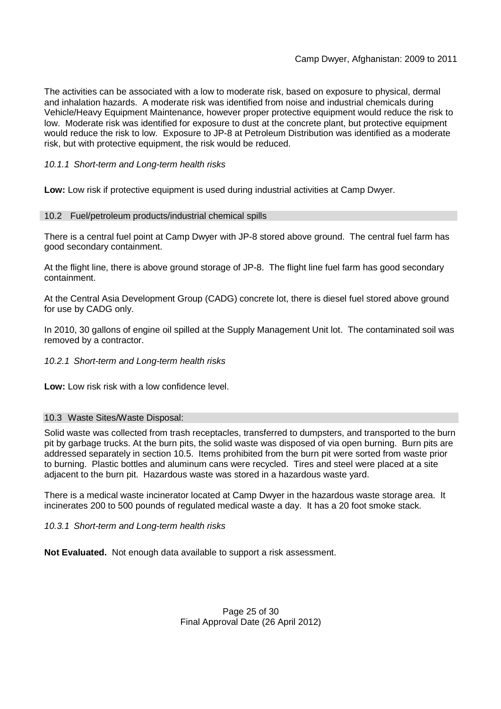The activities can be associated with a low to moderate risk, based on exposure to physical, dermal and inhalation hazards. A moderate risk was identified from noise and industrial chemicals during Vehicle/Heavy Equipment Maintenance, however proper protective equipment would reduce the risk to low. Moderate risk was identified for exposure to dust at the concrete plant, but protective equipment would reduce the risk to low. Exposure to JP-8 at Petroleum Distribution was identified as a moderate risk, but with protective equipment, the risk would be reduced.

### *10.1.1 Short-term and Long-term health risks*

**Low:** Low risk if protective equipment is used during industrial activities at Camp Dwyer.

### 10.2 Fuel/petroleum products/industrial chemical spills

There is a central fuel point at Camp Dwyer with JP-8 stored above ground. The central fuel farm has good secondary containment.

At the flight line, there is above ground storage of JP-8. The flight line fuel farm has good secondary containment.

At the Central Asia Development Group (CADG) concrete lot, there is diesel fuel stored above ground for use by CADG only.

In 2010, 30 gallons of engine oil spilled at the Supply Management Unit lot. The contaminated soil was removed by a contractor.

*10.2.1 Short-term and Long-term health risks*

**Low:** Low risk risk with a low confidence level.

### 10.3 Waste Sites/Waste Disposal:

Solid waste was collected from trash receptacles, transferred to dumpsters, and transported to the burn pit by garbage trucks. At the burn pits, the solid waste was disposed of via open burning. Burn pits are addressed separately in section 10.5. Items prohibited from the burn pit were sorted from waste prior to burning. Plastic bottles and aluminum cans were recycled. Tires and steel were placed at a site adjacent to the burn pit. Hazardous waste was stored in a hazardous waste yard.

There is a medical waste incinerator located at Camp Dwyer in the hazardous waste storage area. It incinerates 200 to 500 pounds of regulated medical waste a day. It has a 20 foot smoke stack.

*10.3.1 Short-term and Long-term health risks*

**Not Evaluated.** Not enough data available to support a risk assessment.

### Page 25 of 30 Final Approval Date (26 April 2012)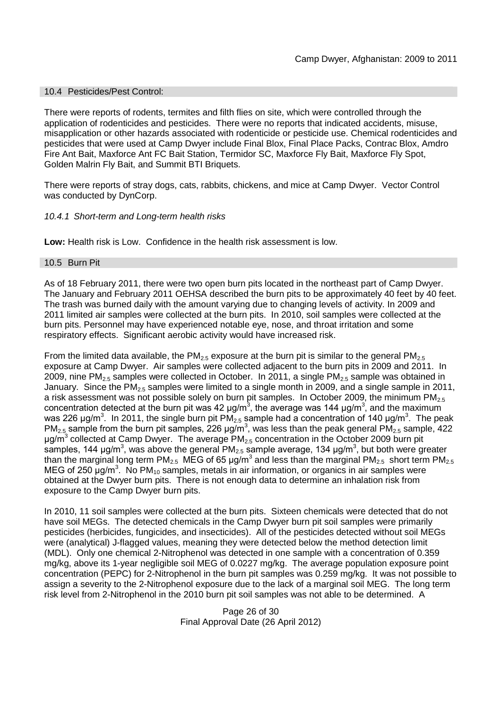### 10.4 Pesticides/Pest Control:

There were reports of rodents, termites and filth flies on site, which were controlled through the application of rodenticides and pesticides. There were no reports that indicated accidents, misuse, misapplication or other hazards associated with rodenticide or pesticide use. Chemical rodenticides and pesticides that were used at Camp Dwyer include Final Blox, Final Place Packs, Contrac Blox, Amdro Fire Ant Bait, Maxforce Ant FC Bait Station, Termidor SC, Maxforce Fly Bait, Maxforce Fly Spot, Golden Malrin Fly Bait, and Summit BTI Briquets.

There were reports of stray dogs, cats, rabbits, chickens, and mice at Camp Dwyer. Vector Control was conducted by DynCorp.

### *10.4.1 Short-term and Long-term health risks*

**Low:** Health risk is Low. Confidence in the health risk assessment is low.

#### 10.5 Burn Pit

As of 18 February 2011, there were two open burn pits located in the northeast part of Camp Dwyer. The January and February 2011 OEHSA described the burn pits to be approximately 40 feet by 40 feet. The trash was burned daily with the amount varying due to changing levels of activity. In 2009 and 2011 limited air samples were collected at the burn pits. In 2010, soil samples were collected at the burn pits. Personnel may have experienced notable eye, nose, and throat irritation and some respiratory effects. Significant aerobic activity would have increased risk.

From the limited data available, the PM<sub>2.5</sub> exposure at the burn pit is similar to the general PM<sub>2.5</sub> exposure at Camp Dwyer. Air samples were collected adjacent to the burn pits in 2009 and 2011. In 2009, nine  $PM_{2.5}$  samples were collected in October. In 2011, a single  $PM_{2.5}$  sample was obtained in January. Since the  $PM<sub>2.5</sub>$  samples were limited to a single month in 2009, and a single sample in 2011, a risk assessment was not possible solely on burn pit samples. In October 2009, the minimum  $PM_{2.5}$ concentration detected at the burn pit was 42  $\mu$ g/m<sup>3</sup>, the average was 144  $\mu$ g/m<sup>3</sup>, and the maximum was 226 μg/m<sup>3</sup>. In 2011, the single burn pit PM<sub>2.5</sub> sample had a concentration of 140 μg/m<sup>3</sup>. The peak PM<sub>2.5</sub> sample from the burn pit samples, 226 µg/m<sup>3</sup>, was less than the peak general PM<sub>2.5</sub> sample, 422 μg/m<sup>3</sup> collected at Camp Dwyer. The average PM<sub>2.5</sub> concentration in the October 2009 burn pit samples, 144  $\mu$ g/m<sup>3</sup>, was above the general PM<sub>2.5</sub> sample average, 134  $\mu$ g/m<sup>3</sup>, but both were greater than the marginal long term PM<sub>2.5</sub> MEG of 65 µg/m<sup>3</sup> and less than the marginal PM<sub>2.5</sub> short term PM<sub>2.5</sub> MEG of 250  $\mu$ g/m<sup>3</sup>. No PM<sub>10</sub> samples, metals in air information, or organics in air samples were obtained at the Dwyer burn pits. There is not enough data to determine an inhalation risk from exposure to the Camp Dwyer burn pits.

In 2010, 11 soil samples were collected at the burn pits. Sixteen chemicals were detected that do not have soil MEGs. The detected chemicals in the Camp Dwyer burn pit soil samples were primarily pesticides (herbicides, fungicides, and insecticides). All of the pesticides detected without soil MEGs were (analytical) J-flagged values, meaning they were detected below the method detection limit (MDL). Only one chemical 2-Nitrophenol was detected in one sample with a concentration of 0.359 mg/kg, above its 1-year negligible soil MEG of 0.0227 mg/kg. The average population exposure point concentration (PEPC) for 2-Nitrophenol in the burn pit samples was 0.259 mg/kg. It was not possible to assign a severity to the 2-Nitrophenol exposure due to the lack of a marginal soil MEG. The long term risk level from 2-Nitrophenol in the 2010 burn pit soil samples was not able to be determined. A

> Page 26 of 30 Final Approval Date (26 April 2012)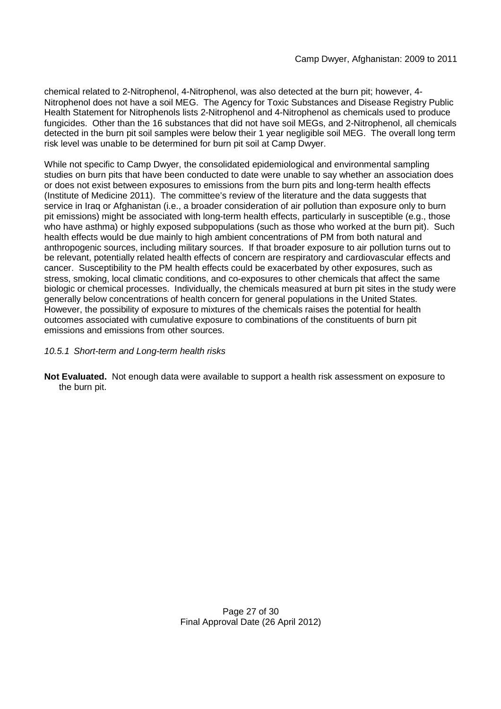chemical related to 2-Nitrophenol, 4-Nitrophenol, was also detected at the burn pit; however, 4- Nitrophenol does not have a soil MEG. The Agency for Toxic Substances and Disease Registry Public Health Statement for Nitrophenols lists 2-Nitrophenol and 4-Nitrophenol as chemicals used to produce fungicides. Other than the 16 substances that did not have soil MEGs, and 2-Nitrophenol, all chemicals detected in the burn pit soil samples were below their 1 year negligible soil MEG. The overall long term risk level was unable to be determined for burn pit soil at Camp Dwyer.

While not specific to Camp Dwyer, the consolidated epidemiological and environmental sampling studies on burn pits that have been conducted to date were unable to say whether an association does or does not exist between exposures to emissions from the burn pits and long-term health effects (Institute of Medicine 2011). The committee's review of the literature and the data suggests that service in Iraq or Afghanistan (i.e., a broader consideration of air pollution than exposure only to burn pit emissions) might be associated with long-term health effects, particularly in susceptible (e.g., those who have asthma) or highly exposed subpopulations (such as those who worked at the burn pit). Such health effects would be due mainly to high ambient concentrations of PM from both natural and anthropogenic sources, including military sources. If that broader exposure to air pollution turns out to be relevant, potentially related health effects of concern are respiratory and cardiovascular effects and cancer. Susceptibility to the PM health effects could be exacerbated by other exposures, such as stress, smoking, local climatic conditions, and co-exposures to other chemicals that affect the same biologic or chemical processes. Individually, the chemicals measured at burn pit sites in the study were generally below concentrations of health concern for general populations in the United States. However, the possibility of exposure to mixtures of the chemicals raises the potential for health outcomes associated with cumulative exposure to combinations of the constituents of burn pit emissions and emissions from other sources.

# *10.5.1 Short-term and Long-term health risks*

**Not Evaluated.** Not enough data were available to support a health risk assessment on exposure to the burn pit.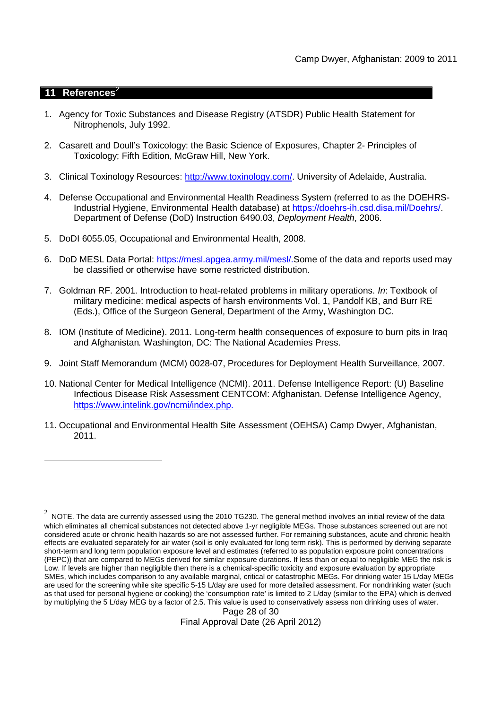### **11 References**<sup>2</sup>

- 1. Agency for Toxic Substances and Disease Registry (ATSDR) Public Health Statement for Nitrophenols, July 1992.
- 2. Casarett and Doull's Toxicology: the Basic Science of Exposures, Chapter 2- Principles of Toxicology; Fifth Edition, McGraw Hill, New York.
- 3. Clinical Toxinology Resources: http://www.toxinology.com/. University of Adelaide, Australia.
- 4. Defense Occupational and Environmental Health Readiness System (referred to as the DOEHRS-Industrial Hygiene, Environmental Health database) at https://doehrs-ih.csd.disa.mil/Doehrs/. Department of Defense (DoD) Instruction 6490.03, *Deployment Health*, 2006.
- 5. DoDI 6055.05, Occupational and Environmental Health, 2008.
- 6. DoD MESL Data Portal: https://mesl.apgea.army.mil/mesl/.Some of the data and reports used may be classified or otherwise have some restricted distribution.
- 7. Goldman RF. 2001. Introduction to heat-related problems in military operations. *In*: Textbook of military medicine: medical aspects of harsh environments Vol. 1, Pandolf KB, and Burr RE (Eds.), Office of the Surgeon General, Department of the Army, Washington DC.
- 8. IOM (Institute of Medicine). 2011*.* Long-term health consequences of exposure to burn pits in Iraq and Afghanistan*.* Washington, DC: The National Academies Press.
- 9. Joint Staff Memorandum (MCM) 0028-07, Procedures for Deployment Health Surveillance, 2007.
- 10. National Center for Medical Intelligence (NCMI). 2011. Defense Intelligence Report: (U) Baseline Infectious Disease Risk Assessment CENTCOM: Afghanistan. Defense Intelligence Agency, https://www.intelink.gov/ncmi/index.php.
- 11. Occupational and Environmental Health Site Assessment (OEHSA) Camp Dwyer, Afghanistan, 2011.

Page 28 of 30 Final Approval Date (26 April 2012)

 $^2$  NOTE. The data are currently assessed using the 2010 TG230. The general method involves an initial review of the data which eliminates all chemical substances not detected above 1-yr negligible MEGs. Those substances screened out are not considered acute or chronic health hazards so are not assessed further. For remaining substances, acute and chronic health effects are evaluated separately for air water (soil is only evaluated for long term risk). This is performed by deriving separate short-term and long term population exposure level and estimates (referred to as population exposure point concentrations (PEPC)) that are compared to MEGs derived for similar exposure durations. If less than or equal to negligible MEG the risk is Low. If levels are higher than negligible then there is a chemical-specific toxicity and exposure evaluation by appropriate SMEs, which includes comparison to any available marginal, critical or catastrophic MEGs. For drinking water 15 L/day MEGs are used for the screening while site specific 5-15 L/day are used for more detailed assessment. For nondrinking water (such as that used for personal hygiene or cooking) the 'consumption rate' is limited to 2 L/day (similar to the EPA) which is derived by multiplying the 5 L/day MEG by a factor of 2.5. This value is used to conservatively assess non drinking uses of water.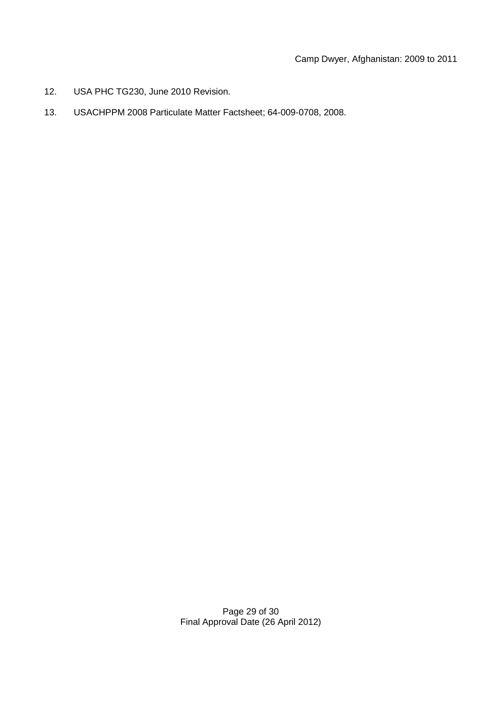- 12. USA PHC TG230, June 2010 Revision.
- 13. USACHPPM 2008 Particulate Matter Factsheet; 64-009-0708, 2008.